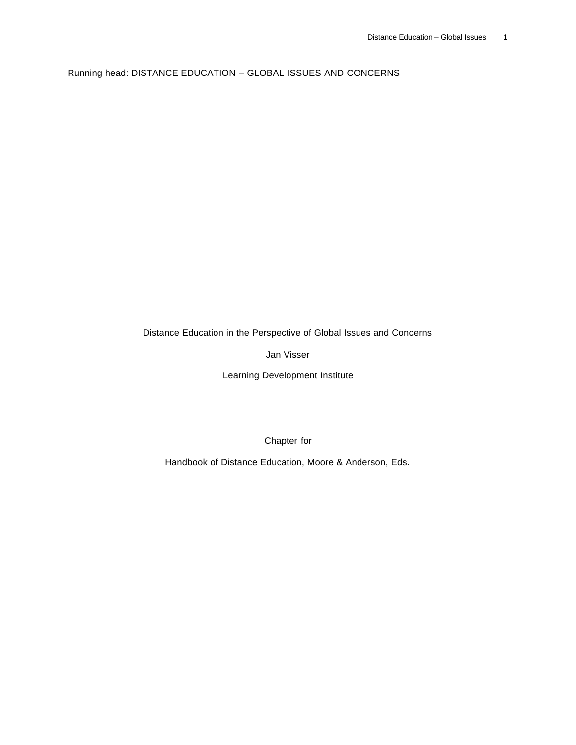Running head: DISTANCE EDUCATION – GLOBAL ISSUES AND CONCERNS

Distance Education in the Perspective of Global Issues and Concerns

Jan Visser

Learning Development Institute

Chapter for

Handbook of Distance Education, Moore & Anderson, Eds.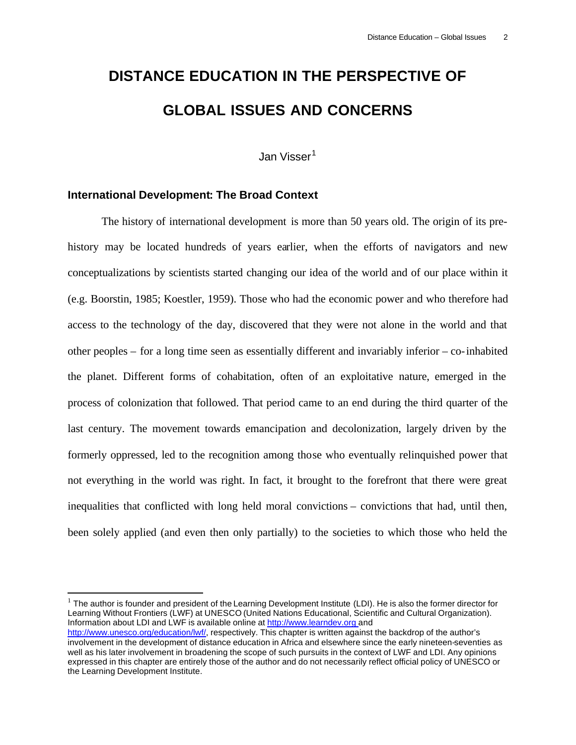# **DISTANCE EDUCATION IN THE PERSPECTIVE OF GLOBAL ISSUES AND CONCERNS**

Jan Visser<sup>1</sup>

### **International Development: The Broad Context**

 $\overline{a}$ 

The history of international development is more than 50 years old. The origin of its prehistory may be located hundreds of years earlier, when the efforts of navigators and new conceptualizations by scientists started changing our idea of the world and of our place within it (e.g. Boorstin, 1985; Koestler, 1959). Those who had the economic power and who therefore had access to the technology of the day, discovered that they were not alone in the world and that other peoples – for a long time seen as essentially different and invariably inferior – co-inhabited the planet. Different forms of cohabitation, often of an exploitative nature, emerged in the process of colonization that followed. That period came to an end during the third quarter of the last century. The movement towards emancipation and decolonization, largely driven by the formerly oppressed, led to the recognition among those who eventually relinquished power that not everything in the world was right. In fact, it brought to the forefront that there were great inequalities that conflicted with long held moral convictions – convictions that had, until then, been solely applied (and even then only partially) to the societies to which those who held the

 $1$  The author is founder and president of the Learning Development Institute (LDI). He is also the former director for Learning Without Frontiers (LWF) at UNESCO (United Nations Educational, Scientific and Cultural Organization). Information about LDI and LWF is available online at http://www.learndev.org and

http://www.unesco.org/education/lwf/, respectively. This chapter is written against the backdrop of the author's involvement in the development of distance education in Africa and elsewhere since the early nineteen-seventies as well as his later involvement in broadening the scope of such pursuits in the context of LWF and LDI. Any opinions expressed in this chapter are entirely those of the author and do not necessarily reflect official policy of UNESCO or the Learning Development Institute.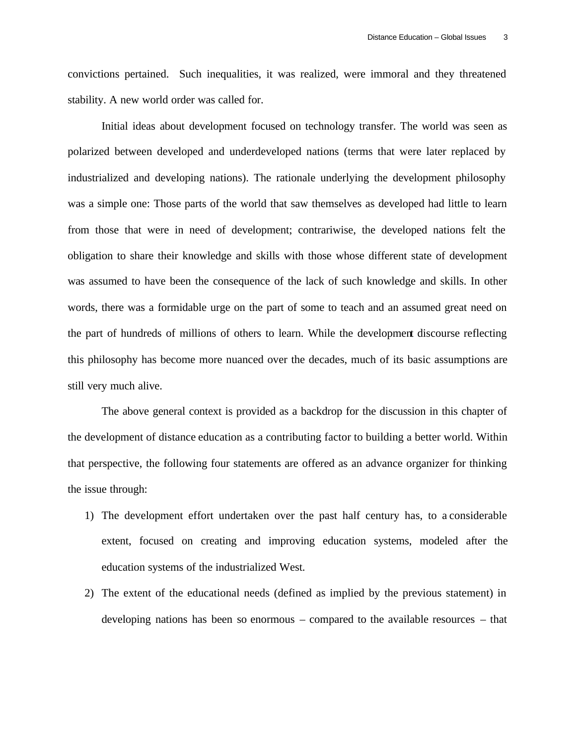convictions pertained. Such inequalities, it was realized, were immoral and they threatened stability. A new world order was called for.

Initial ideas about development focused on technology transfer. The world was seen as polarized between developed and underdeveloped nations (terms that were later replaced by industrialized and developing nations). The rationale underlying the development philosophy was a simple one: Those parts of the world that saw themselves as developed had little to learn from those that were in need of development; contrariwise, the developed nations felt the obligation to share their knowledge and skills with those whose different state of development was assumed to have been the consequence of the lack of such knowledge and skills. In other words, there was a formidable urge on the part of some to teach and an assumed great need on the part of hundreds of millions of others to learn. While the development discourse reflecting this philosophy has become more nuanced over the decades, much of its basic assumptions are still very much alive.

The above general context is provided as a backdrop for the discussion in this chapter of the development of distance education as a contributing factor to building a better world. Within that perspective, the following four statements are offered as an advance organizer for thinking the issue through:

- 1) The development effort undertaken over the past half century has, to a considerable extent, focused on creating and improving education systems, modeled after the education systems of the industrialized West.
- 2) The extent of the educational needs (defined as implied by the previous statement) in developing nations has been so enormous – compared to the available resources – that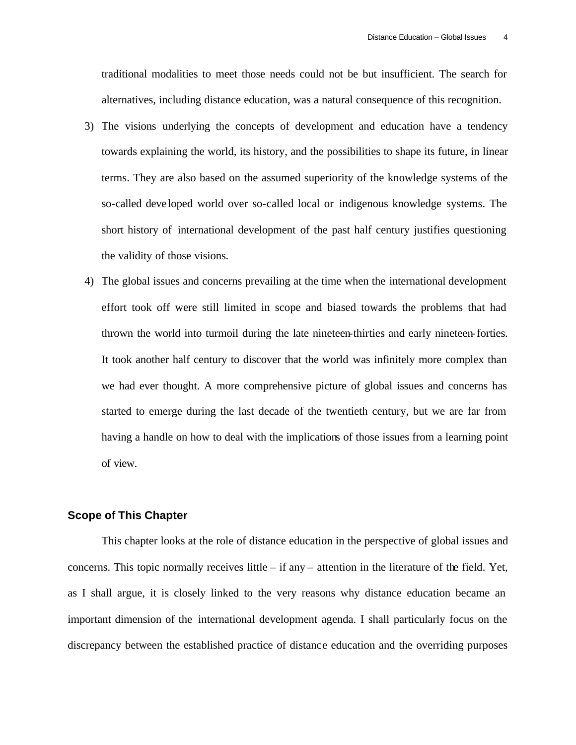traditional modalities to meet those needs could not be but insufficient. The search for alternatives, including distance education, was a natural consequence of this recognition.

- 3) The visions underlying the concepts of development and education have a tendency towards explaining the world, its history, and the possibilities to shape its future, in linear terms. They are also based on the assumed superiority of the knowledge systems of the so-called developed world over so-called local or indigenous knowledge systems. The short history of international development of the past half century justifies questioning the validity of those visions.
- 4) The global issues and concerns prevailing at the time when the international development effort took off were still limited in scope and biased towards the problems that had thrown the world into turmoil during the late nineteen-thirties and early nineteen-forties. It took another half century to discover that the world was infinitely more complex than we had ever thought. A more comprehensive picture of global issues and concerns has started to emerge during the last decade of the twentieth century, but we are far from having a handle on how to deal with the implications of those issues from a learning point of view.

## **Scope of This Chapter**

This chapter looks at the role of distance education in the perspective of global issues and concerns. This topic normally receives little – if any – attention in the literature of the field. Yet, as I shall argue, it is closely linked to the very reasons why distance education became an important dimension of the international development agenda. I shall particularly focus on the discrepancy between the established practice of distance education and the overriding purposes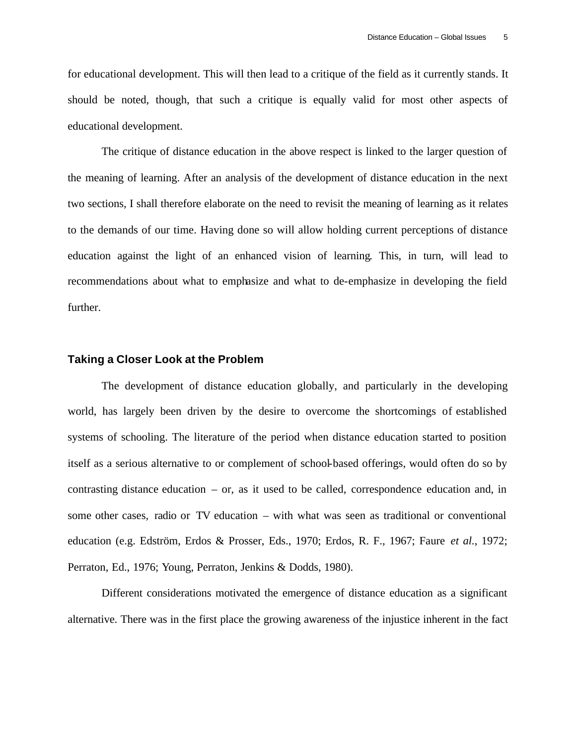for educational development. This will then lead to a critique of the field as it currently stands. It should be noted, though, that such a critique is equally valid for most other aspects of educational development.

The critique of distance education in the above respect is linked to the larger question of the meaning of learning. After an analysis of the development of distance education in the next two sections, I shall therefore elaborate on the need to revisit the meaning of learning as it relates to the demands of our time. Having done so will allow holding current perceptions of distance education against the light of an enhanced vision of learning. This, in turn, will lead to recommendations about what to emphasize and what to de-emphasize in developing the field further.

## **Taking a Closer Look at the Problem**

The development of distance education globally, and particularly in the developing world, has largely been driven by the desire to overcome the shortcomings of established systems of schooling. The literature of the period when distance education started to position itself as a serious alternative to or complement of school-based offerings, would often do so by contrasting distance education – or, as it used to be called, correspondence education and, in some other cases, radio or TV education – with what was seen as traditional or conventional education (e.g. Edström, Erdos & Prosser, Eds., 1970; Erdos, R. F., 1967; Faure *et al.*, 1972; Perraton, Ed., 1976; Young, Perraton, Jenkins & Dodds, 1980).

Different considerations motivated the emergence of distance education as a significant alternative. There was in the first place the growing awareness of the injustice inherent in the fact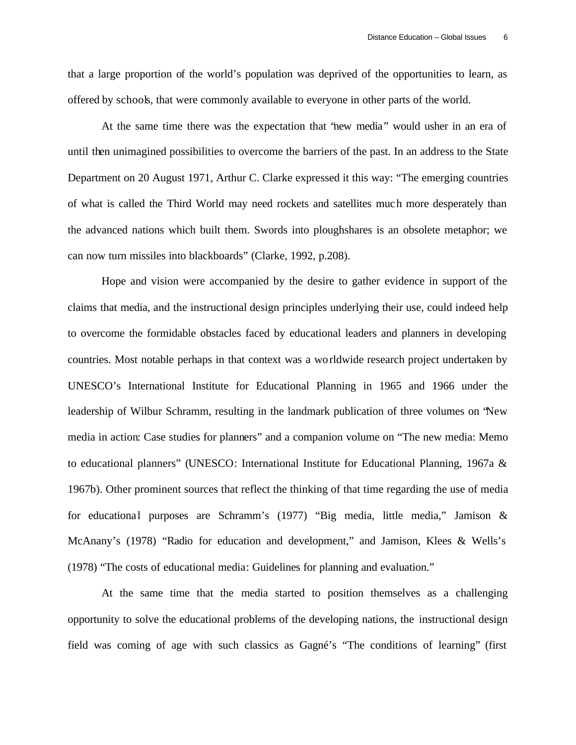that a large proportion of the world's population was deprived of the opportunities to learn, as offered by schools, that were commonly available to everyone in other parts of the world.

At the same time there was the expectation that "new media" would usher in an era of until then unimagined possibilities to overcome the barriers of the past. In an address to the State Department on 20 August 1971, Arthur C. Clarke expressed it this way: "The emerging countries of what is called the Third World may need rockets and satellites much more desperately than the advanced nations which built them. Swords into ploughshares is an obsolete metaphor; we can now turn missiles into blackboards" (Clarke, 1992, p.208).

Hope and vision were accompanied by the desire to gather evidence in support of the claims that media, and the instructional design principles underlying their use, could indeed help to overcome the formidable obstacles faced by educational leaders and planners in developing countries. Most notable perhaps in that context was a worldwide research project undertaken by UNESCO's International Institute for Educational Planning in 1965 and 1966 under the leadership of Wilbur Schramm, resulting in the landmark publication of three volumes on "New media in action: Case studies for planners" and a companion volume on "The new media: Memo to educational planners" (UNESCO: International Institute for Educational Planning, 1967a & 1967b). Other prominent sources that reflect the thinking of that time regarding the use of media for educational purposes are Schramm's (1977) "Big media, little media," Jamison  $\&$ McAnany's (1978) "Radio for education and development," and Jamison, Klees & Wells's (1978) "The costs of educational media: Guidelines for planning and evaluation."

At the same time that the media started to position themselves as a challenging opportunity to solve the educational problems of the developing nations, the instructional design field was coming of age with such classics as Gagné's "The conditions of learning" (first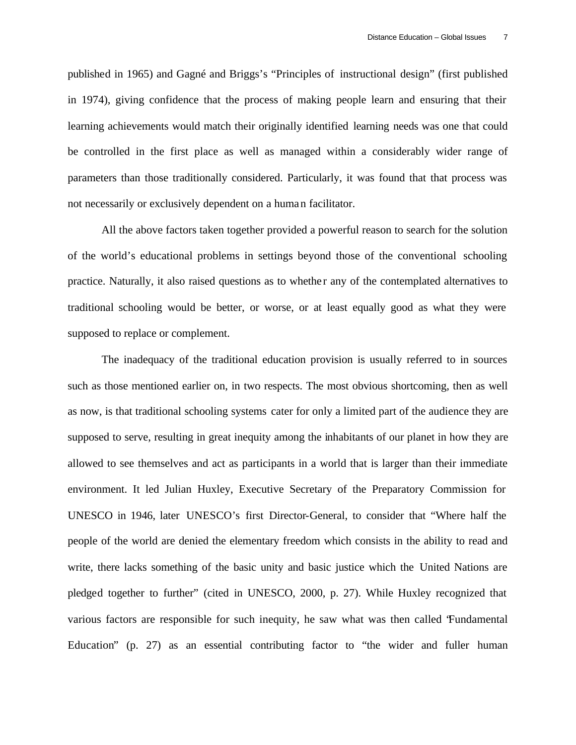published in 1965) and Gagné and Briggs's "Principles of instructional design" (first published in 1974), giving confidence that the process of making people learn and ensuring that their learning achievements would match their originally identified learning needs was one that could be controlled in the first place as well as managed within a considerably wider range of parameters than those traditionally considered. Particularly, it was found that that process was not necessarily or exclusively dependent on a human facilitator.

All the above factors taken together provided a powerful reason to search for the solution of the world's educational problems in settings beyond those of the conventional schooling practice. Naturally, it also raised questions as to whether any of the contemplated alternatives to traditional schooling would be better, or worse, or at least equally good as what they were supposed to replace or complement.

The inadequacy of the traditional education provision is usually referred to in sources such as those mentioned earlier on, in two respects. The most obvious shortcoming, then as well as now, is that traditional schooling systems cater for only a limited part of the audience they are supposed to serve, resulting in great inequity among the inhabitants of our planet in how they are allowed to see themselves and act as participants in a world that is larger than their immediate environment. It led Julian Huxley, Executive Secretary of the Preparatory Commission for UNESCO in 1946, later UNESCO's first Director-General, to consider that "Where half the people of the world are denied the elementary freedom which consists in the ability to read and write, there lacks something of the basic unity and basic justice which the United Nations are pledged together to further" (cited in UNESCO, 2000, p. 27). While Huxley recognized that various factors are responsible for such inequity, he saw what was then called "Fundamental Education" (p. 27) as an essential contributing factor to "the wider and fuller human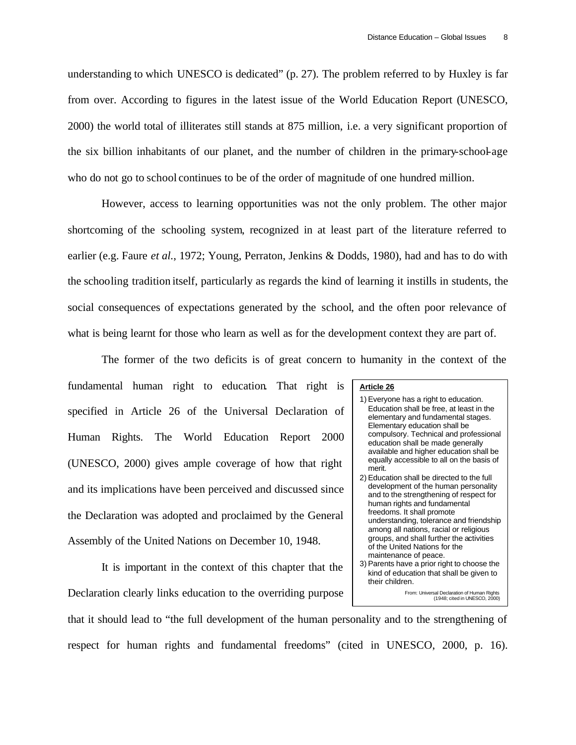understanding to which UNESCO is dedicated" (p. 27). The problem referred to by Huxley is far from over. According to figures in the latest issue of the World Education Report (UNESCO, 2000) the world total of illiterates still stands at 875 million, i.e. a very significant proportion of the six billion inhabitants of our planet, and the number of children in the primary-school-age who do not go to school continues to be of the order of magnitude of one hundred million.

However, access to learning opportunities was not the only problem. The other major shortcoming of the schooling system, recognized in at least part of the literature referred to earlier (e.g. Faure *et al.*, 1972; Young, Perraton, Jenkins & Dodds, 1980), had and has to do with the schooling tradition itself, particularly as regards the kind of learning it instills in students, the social consequences of expectations generated by the school, and the often poor relevance of what is being learnt for those who learn as well as for the development context they are part of.

The former of the two deficits is of great concern to humanity in the context of the fundamental human right to education. That right is specified in Article 26 of the Universal Declaration of Human Rights. The World Education Report 2000 (UNESCO, 2000) gives ample coverage of how that right and its implications have been perceived and discussed since the Declaration was adopted and proclaimed by the General Assembly of the United Nations on December 10, 1948.

It is important in the context of this chapter that the Declaration clearly links education to the overriding purpose

## **Article 26**

- 1) Everyone has a right to education. Education shall be free, at least in the elementary and fundamental stages. Elementary education shall be compulsory. Technical and professional education shall be made generally available and higher education shall be equally accessible to all on the basis of merit.
- 2) Education shall be directed to the full development of the human personality and to the strengthening of respect for human rights and fundamental freedoms. It shall promote understanding, tolerance and friendship among all nations, racial or religious groups, and shall further the activities of the United Nations for the maintenance of peace.

From: Universal Declaration of Human Rights (1948; cited in UNESCO, 2000)

that it should lead to "the full development of the human personality and to the strengthening of respect for human rights and fundamental freedoms" (cited in UNESCO, 2000, p. 16).

<sup>3)</sup> Parents have a prior right to choose the kind of education that shall be given to their children.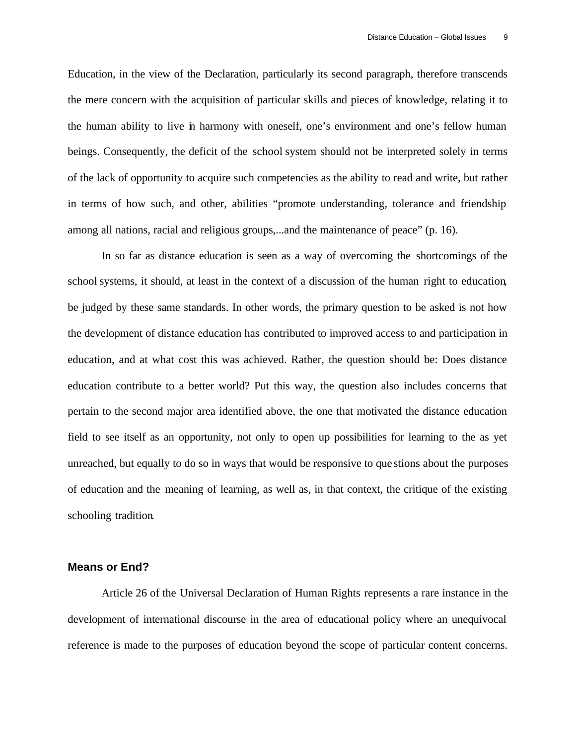Education, in the view of the Declaration, particularly its second paragraph, therefore transcends the mere concern with the acquisition of particular skills and pieces of knowledge, relating it to the human ability to live in harmony with oneself, one's environment and one's fellow human beings. Consequently, the deficit of the school system should not be interpreted solely in terms of the lack of opportunity to acquire such competencies as the ability to read and write, but rather in terms of how such, and other, abilities "promote understanding, tolerance and friendship among all nations, racial and religious groups,...and the maintenance of peace" (p. 16).

In so far as distance education is seen as a way of overcoming the shortcomings of the school systems, it should, at least in the context of a discussion of the human right to education, be judged by these same standards. In other words, the primary question to be asked is not how the development of distance education has contributed to improved access to and participation in education, and at what cost this was achieved. Rather, the question should be: Does distance education contribute to a better world? Put this way, the question also includes concerns that pertain to the second major area identified above, the one that motivated the distance education field to see itself as an opportunity, not only to open up possibilities for learning to the as yet unreached, but equally to do so in ways that would be responsive to que stions about the purposes of education and the meaning of learning, as well as, in that context, the critique of the existing schooling tradition.

### **Means or End?**

Article 26 of the Universal Declaration of Human Rights represents a rare instance in the development of international discourse in the area of educational policy where an unequivocal reference is made to the purposes of education beyond the scope of particular content concerns.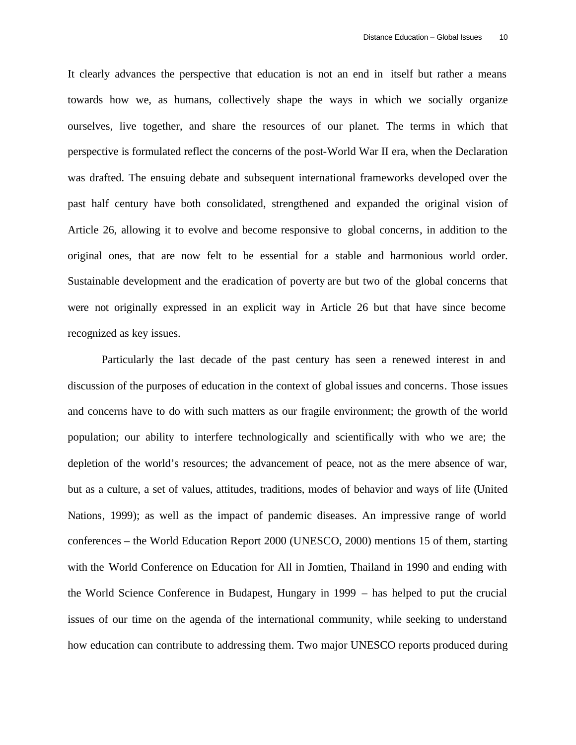It clearly advances the perspective that education is not an end in itself but rather a means towards how we, as humans, collectively shape the ways in which we socially organize ourselves, live together, and share the resources of our planet. The terms in which that perspective is formulated reflect the concerns of the post-World War II era, when the Declaration was drafted. The ensuing debate and subsequent international frameworks developed over the past half century have both consolidated, strengthened and expanded the original vision of Article 26, allowing it to evolve and become responsive to global concerns, in addition to the original ones, that are now felt to be essential for a stable and harmonious world order. Sustainable development and the eradication of poverty are but two of the global concerns that were not originally expressed in an explicit way in Article 26 but that have since become recognized as key issues.

Particularly the last decade of the past century has seen a renewed interest in and discussion of the purposes of education in the context of global issues and concerns. Those issues and concerns have to do with such matters as our fragile environment; the growth of the world population; our ability to interfere technologically and scientifically with who we are; the depletion of the world's resources; the advancement of peace, not as the mere absence of war, but as a culture, a set of values, attitudes, traditions, modes of behavior and ways of life (United Nations, 1999); as well as the impact of pandemic diseases. An impressive range of world conferences – the World Education Report 2000 (UNESCO, 2000) mentions 15 of them, starting with the World Conference on Education for All in Jomtien, Thailand in 1990 and ending with the World Science Conference in Budapest, Hungary in 1999 – has helped to put the crucial issues of our time on the agenda of the international community, while seeking to understand how education can contribute to addressing them. Two major UNESCO reports produced during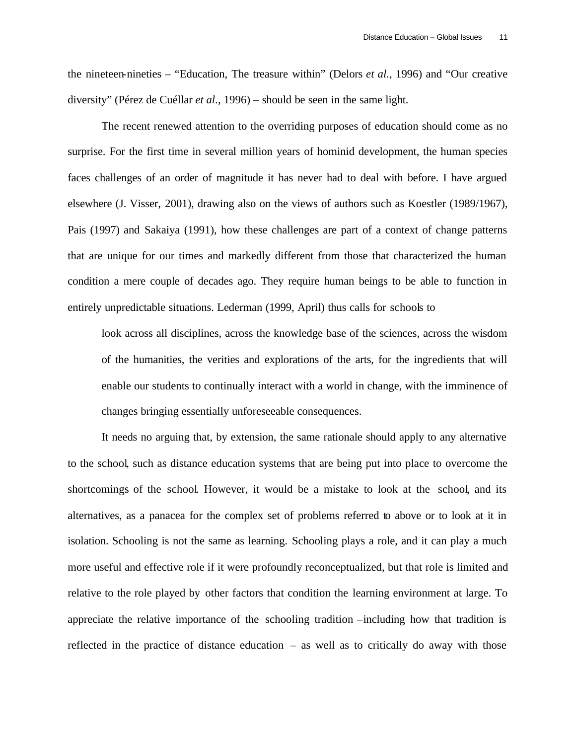the nineteen-nineties – "Education, The treasure within" (Delors *et al.*, 1996) and "Our creative diversity" (Pérez de Cuéllar *et al*., 1996) – should be seen in the same light.

The recent renewed attention to the overriding purposes of education should come as no surprise. For the first time in several million years of hominid development, the human species faces challenges of an order of magnitude it has never had to deal with before. I have argued elsewhere (J. Visser, 2001), drawing also on the views of authors such as Koestler (1989/1967), Pais (1997) and Sakaiya (1991), how these challenges are part of a context of change patterns that are unique for our times and markedly different from those that characterized the human condition a mere couple of decades ago. They require human beings to be able to function in entirely unpredictable situations. Lederman (1999, April) thus calls for schools to

look across all disciplines, across the knowledge base of the sciences, across the wisdom of the humanities, the verities and explorations of the arts, for the ingredients that will enable our students to continually interact with a world in change, with the imminence of changes bringing essentially unforeseeable consequences.

It needs no arguing that, by extension, the same rationale should apply to any alternative to the school, such as distance education systems that are being put into place to overcome the shortcomings of the school. However, it would be a mistake to look at the school, and its alternatives, as a panacea for the complex set of problems referred to above or to look at it in isolation. Schooling is not the same as learning. Schooling plays a role, and it can play a much more useful and effective role if it were profoundly reconceptualized, but that role is limited and relative to the role played by other factors that condition the learning environment at large. To appreciate the relative importance of the schooling tradition –including how that tradition is reflected in the practice of distance education  $-$  as well as to critically do away with those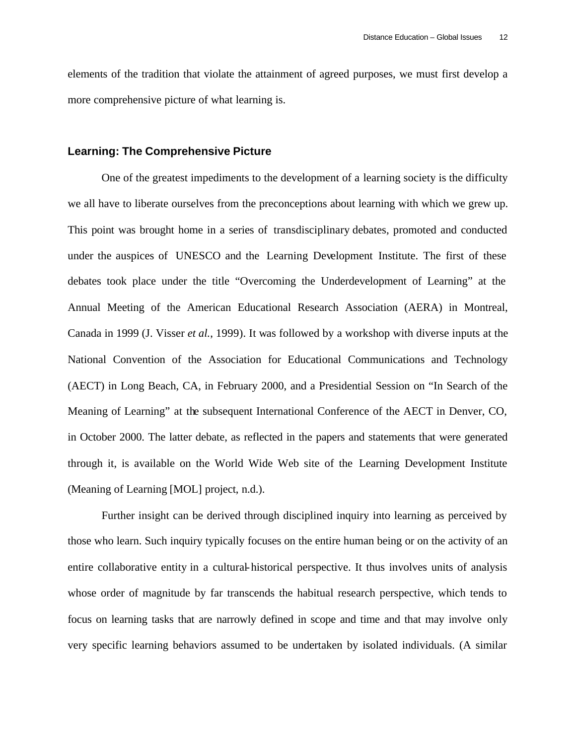elements of the tradition that violate the attainment of agreed purposes, we must first develop a more comprehensive picture of what learning is.

### **Learning: The Comprehensive Picture**

One of the greatest impediments to the development of a learning society is the difficulty we all have to liberate ourselves from the preconceptions about learning with which we grew up. This point was brought home in a series of transdisciplinary debates, promoted and conducted under the auspices of UNESCO and the Learning Development Institute. The first of these debates took place under the title "Overcoming the Underdevelopment of Learning" at the Annual Meeting of the American Educational Research Association (AERA) in Montreal, Canada in 1999 (J. Visser *et al.*, 1999). It was followed by a workshop with diverse inputs at the National Convention of the Association for Educational Communications and Technology (AECT) in Long Beach, CA, in February 2000, and a Presidential Session on "In Search of the Meaning of Learning" at the subsequent International Conference of the AECT in Denver, CO, in October 2000. The latter debate, as reflected in the papers and statements that were generated through it, is available on the World Wide Web site of the Learning Development Institute (Meaning of Learning [MOL] project, n.d.).

Further insight can be derived through disciplined inquiry into learning as perceived by those who learn. Such inquiry typically focuses on the entire human being or on the activity of an entire collaborative entity in a cultural-historical perspective. It thus involves units of analysis whose order of magnitude by far transcends the habitual research perspective, which tends to focus on learning tasks that are narrowly defined in scope and time and that may involve only very specific learning behaviors assumed to be undertaken by isolated individuals. (A similar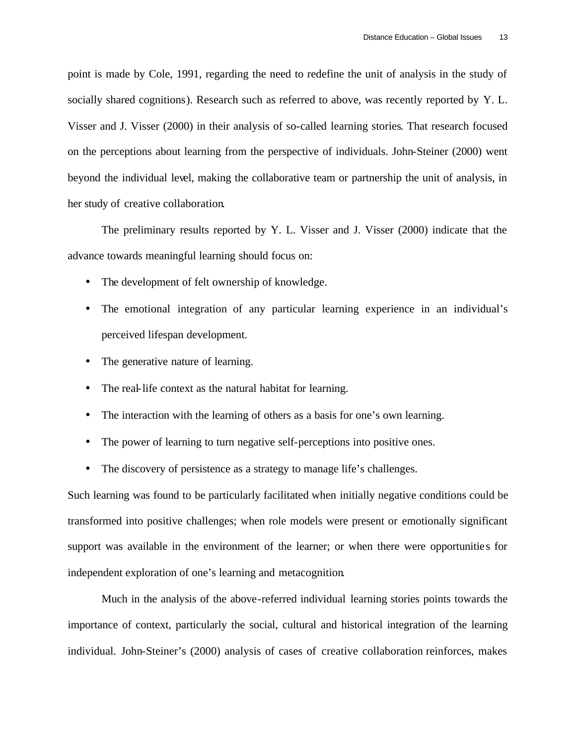point is made by Cole, 1991, regarding the need to redefine the unit of analysis in the study of socially shared cognitions). Research such as referred to above, was recently reported by Y. L. Visser and J. Visser (2000) in their analysis of so-called learning stories. That research focused on the perceptions about learning from the perspective of individuals. John-Steiner (2000) went beyond the individual level, making the collaborative team or partnership the unit of analysis, in her study of creative collaboration.

The preliminary results reported by Y. L. Visser and J. Visser (2000) indicate that the advance towards meaningful learning should focus on:

- The development of felt ownership of knowledge.
- The emotional integration of any particular learning experience in an individual's perceived lifespan development.
- The generative nature of learning.
- The real-life context as the natural habitat for learning.
- The interaction with the learning of others as a basis for one's own learning.
- The power of learning to turn negative self-perceptions into positive ones.
- The discovery of persistence as a strategy to manage life's challenges.

Such learning was found to be particularly facilitated when initially negative conditions could be transformed into positive challenges; when role models were present or emotionally significant support was available in the environment of the learner; or when there were opportunitie s for independent exploration of one's learning and metacognition.

Much in the analysis of the above-referred individual learning stories points towards the importance of context, particularly the social, cultural and historical integration of the learning individual. John-Steiner's (2000) analysis of cases of creative collaboration reinforces, makes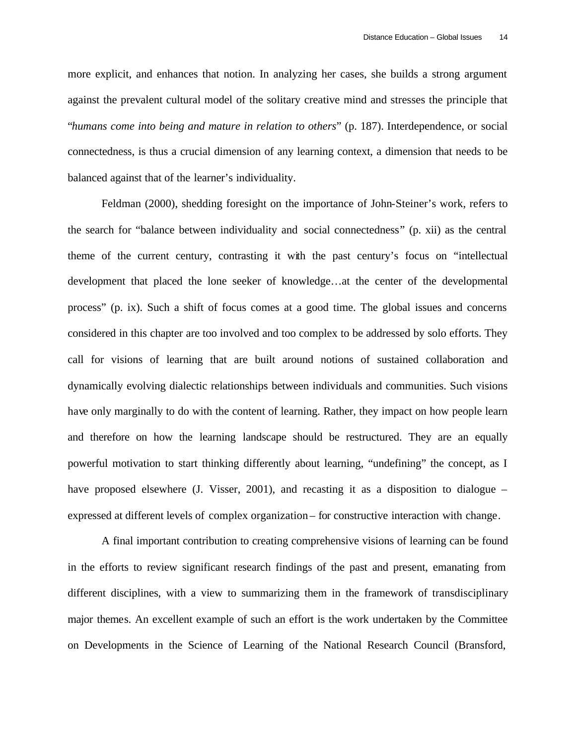more explicit, and enhances that notion. In analyzing her cases, she builds a strong argument against the prevalent cultural model of the solitary creative mind and stresses the principle that "*humans come into being and mature in relation to others*" (p. 187). Interdependence, or social connectedness, is thus a crucial dimension of any learning context, a dimension that needs to be balanced against that of the learner's individuality.

Feldman (2000), shedding foresight on the importance of John-Steiner's work, refers to the search for "balance between individuality and social connectedness" (p. xii) as the central theme of the current century, contrasting it with the past century's focus on "intellectual development that placed the lone seeker of knowledge…at the center of the developmental process" (p. ix). Such a shift of focus comes at a good time. The global issues and concerns considered in this chapter are too involved and too complex to be addressed by solo efforts. They call for visions of learning that are built around notions of sustained collaboration and dynamically evolving dialectic relationships between individuals and communities. Such visions have only marginally to do with the content of learning. Rather, they impact on how people learn and therefore on how the learning landscape should be restructured. They are an equally powerful motivation to start thinking differently about learning, "undefining" the concept, as I have proposed elsewhere (J. Visser, 2001), and recasting it as a disposition to dialogue – expressed at different levels of complex organization – for constructive interaction with change.

A final important contribution to creating comprehensive visions of learning can be found in the efforts to review significant research findings of the past and present, emanating from different disciplines, with a view to summarizing them in the framework of transdisciplinary major themes. An excellent example of such an effort is the work undertaken by the Committee on Developments in the Science of Learning of the National Research Council (Bransford,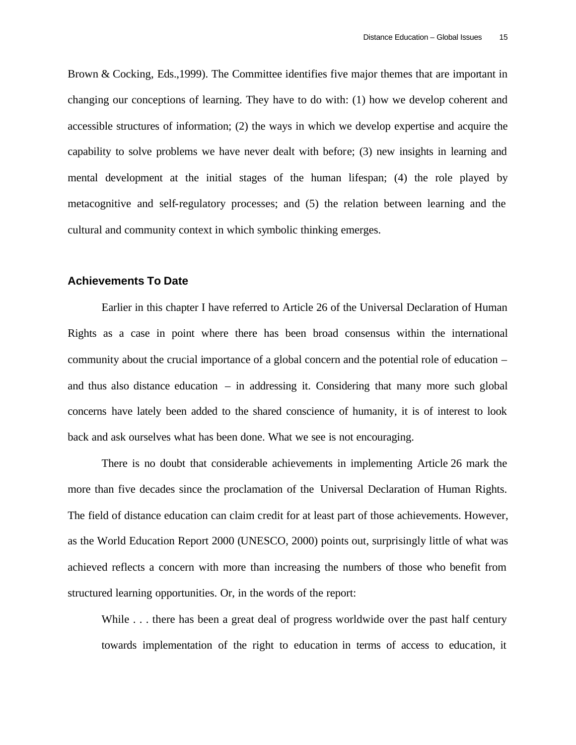Brown & Cocking, Eds.,1999). The Committee identifies five major themes that are important in changing our conceptions of learning. They have to do with: (1) how we develop coherent and accessible structures of information; (2) the ways in which we develop expertise and acquire the capability to solve problems we have never dealt with before; (3) new insights in learning and mental development at the initial stages of the human lifespan; (4) the role played by metacognitive and self-regulatory processes; and (5) the relation between learning and the cultural and community context in which symbolic thinking emerges.

## **Achievements To Date**

Earlier in this chapter I have referred to Article 26 of the Universal Declaration of Human Rights as a case in point where there has been broad consensus within the international community about the crucial importance of a global concern and the potential role of education – and thus also distance education – in addressing it. Considering that many more such global concerns have lately been added to the shared conscience of humanity, it is of interest to look back and ask ourselves what has been done. What we see is not encouraging.

There is no doubt that considerable achievements in implementing Article 26 mark the more than five decades since the proclamation of the Universal Declaration of Human Rights. The field of distance education can claim credit for at least part of those achievements. However, as the World Education Report 2000 (UNESCO, 2000) points out, surprisingly little of what was achieved reflects a concern with more than increasing the numbers of those who benefit from structured learning opportunities. Or, in the words of the report:

While ... there has been a great deal of progress worldwide over the past half century towards implementation of the right to education in terms of access to education, it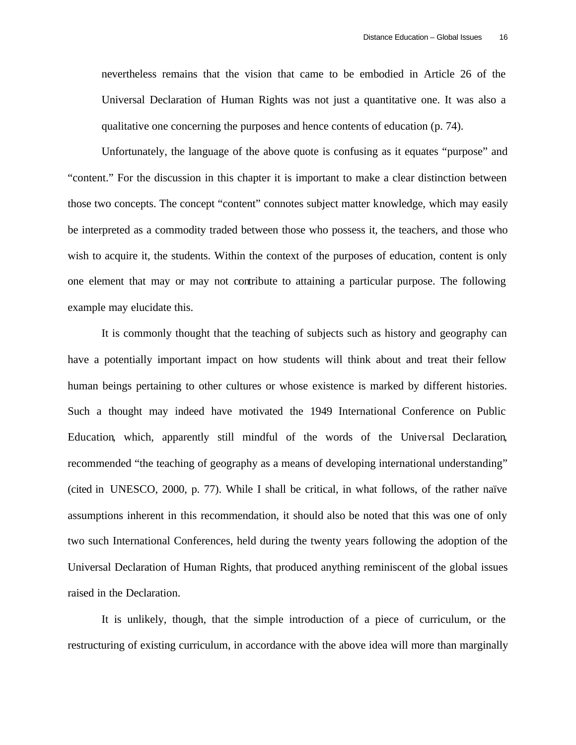nevertheless remains that the vision that came to be embodied in Article 26 of the Universal Declaration of Human Rights was not just a quantitative one. It was also a qualitative one concerning the purposes and hence contents of education (p. 74).

Unfortunately, the language of the above quote is confusing as it equates "purpose" and "content." For the discussion in this chapter it is important to make a clear distinction between those two concepts. The concept "content" connotes subject matter knowledge, which may easily be interpreted as a commodity traded between those who possess it, the teachers, and those who wish to acquire it, the students. Within the context of the purposes of education, content is only one element that may or may not contribute to attaining a particular purpose. The following example may elucidate this.

It is commonly thought that the teaching of subjects such as history and geography can have a potentially important impact on how students will think about and treat their fellow human beings pertaining to other cultures or whose existence is marked by different histories. Such a thought may indeed have motivated the 1949 International Conference on Public Education, which, apparently still mindful of the words of the Universal Declaration, recommended "the teaching of geography as a means of developing international understanding" (cited in UNESCO, 2000, p. 77). While I shall be critical, in what follows, of the rather naïve assumptions inherent in this recommendation, it should also be noted that this was one of only two such International Conferences, held during the twenty years following the adoption of the Universal Declaration of Human Rights, that produced anything reminiscent of the global issues raised in the Declaration.

It is unlikely, though, that the simple introduction of a piece of curriculum, or the restructuring of existing curriculum, in accordance with the above idea will more than marginally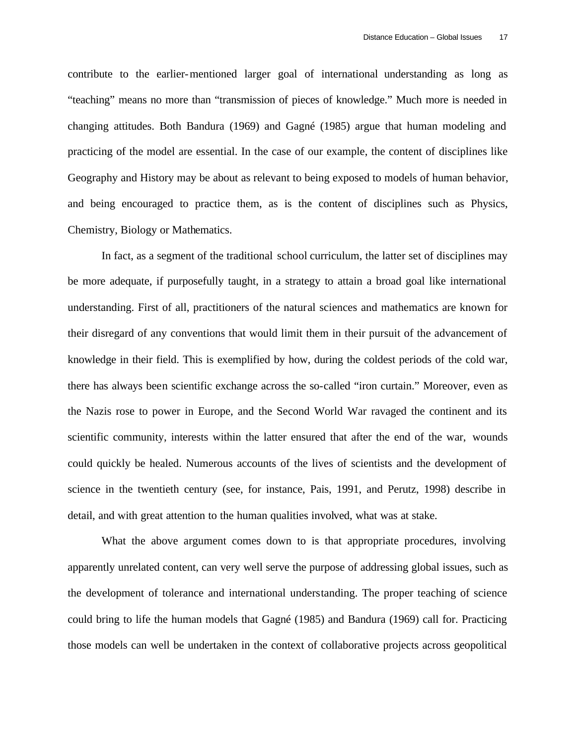contribute to the earlier-mentioned larger goal of international understanding as long as "teaching" means no more than "transmission of pieces of knowledge." Much more is needed in changing attitudes. Both Bandura (1969) and Gagné (1985) argue that human modeling and practicing of the model are essential. In the case of our example, the content of disciplines like Geography and History may be about as relevant to being exposed to models of human behavior, and being encouraged to practice them, as is the content of disciplines such as Physics, Chemistry, Biology or Mathematics.

In fact, as a segment of the traditional school curriculum, the latter set of disciplines may be more adequate, if purposefully taught, in a strategy to attain a broad goal like international understanding. First of all, practitioners of the natural sciences and mathematics are known for their disregard of any conventions that would limit them in their pursuit of the advancement of knowledge in their field. This is exemplified by how, during the coldest periods of the cold war, there has always been scientific exchange across the so-called "iron curtain." Moreover, even as the Nazis rose to power in Europe, and the Second World War ravaged the continent and its scientific community, interests within the latter ensured that after the end of the war, wounds could quickly be healed. Numerous accounts of the lives of scientists and the development of science in the twentieth century (see, for instance, Pais, 1991, and Perutz, 1998) describe in detail, and with great attention to the human qualities involved, what was at stake.

What the above argument comes down to is that appropriate procedures, involving apparently unrelated content, can very well serve the purpose of addressing global issues, such as the development of tolerance and international understanding. The proper teaching of science could bring to life the human models that Gagné (1985) and Bandura (1969) call for. Practicing those models can well be undertaken in the context of collaborative projects across geopolitical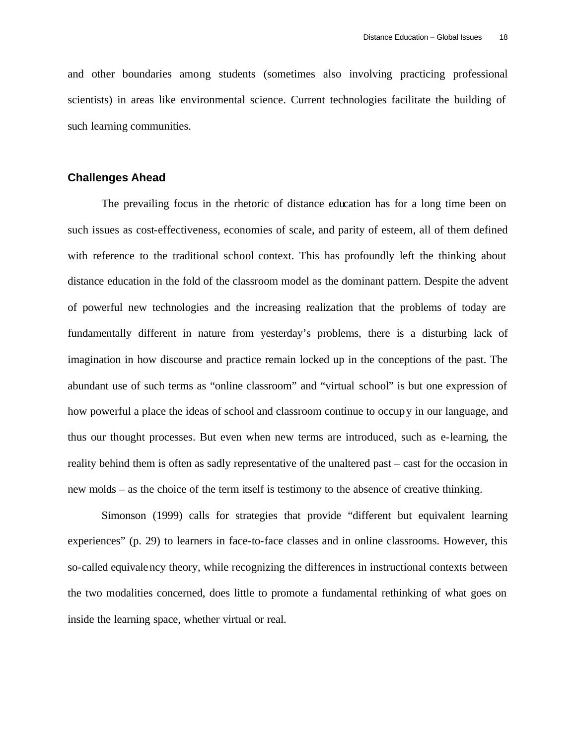and other boundaries among students (sometimes also involving practicing professional scientists) in areas like environmental science. Current technologies facilitate the building of such learning communities.

## **Challenges Ahead**

The prevailing focus in the rhetoric of distance education has for a long time been on such issues as cost-effectiveness, economies of scale, and parity of esteem, all of them defined with reference to the traditional school context. This has profoundly left the thinking about distance education in the fold of the classroom model as the dominant pattern. Despite the advent of powerful new technologies and the increasing realization that the problems of today are fundamentally different in nature from yesterday's problems, there is a disturbing lack of imagination in how discourse and practice remain locked up in the conceptions of the past. The abundant use of such terms as "online classroom" and "virtual school" is but one expression of how powerful a place the ideas of school and classroom continue to occupy in our language, and thus our thought processes. But even when new terms are introduced, such as e-learning, the reality behind them is often as sadly representative of the unaltered past – cast for the occasion in new molds – as the choice of the term itself is testimony to the absence of creative thinking.

Simonson (1999) calls for strategies that provide "different but equivalent learning experiences" (p. 29) to learners in face-to-face classes and in online classrooms. However, this so-called equivalency theory, while recognizing the differences in instructional contexts between the two modalities concerned, does little to promote a fundamental rethinking of what goes on inside the learning space, whether virtual or real.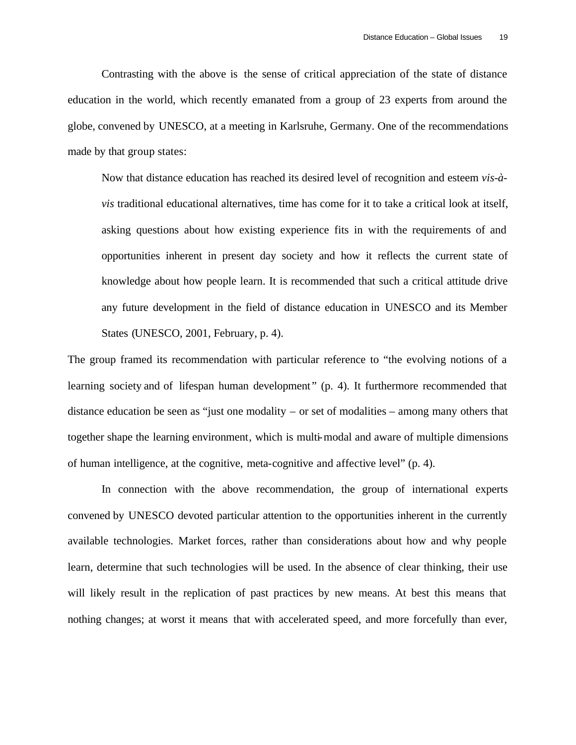Contrasting with the above is the sense of critical appreciation of the state of distance education in the world, which recently emanated from a group of 23 experts from around the globe, convened by UNESCO, at a meeting in Karlsruhe, Germany. One of the recommendations made by that group states:

Now that distance education has reached its desired level of recognition and esteem *vis-àvis* traditional educational alternatives, time has come for it to take a critical look at itself, asking questions about how existing experience fits in with the requirements of and opportunities inherent in present day society and how it reflects the current state of knowledge about how people learn. It is recommended that such a critical attitude drive any future development in the field of distance education in UNESCO and its Member States (UNESCO, 2001, February, p. 4).

The group framed its recommendation with particular reference to "the evolving notions of a learning society and of lifespan human development" (p. 4). It furthermore recommended that distance education be seen as "just one modality – or set of modalities – among many others that together shape the learning environment, which is multi-modal and aware of multiple dimensions of human intelligence, at the cognitive, meta-cognitive and affective level" (p. 4).

In connection with the above recommendation, the group of international experts convened by UNESCO devoted particular attention to the opportunities inherent in the currently available technologies. Market forces, rather than considerations about how and why people learn, determine that such technologies will be used. In the absence of clear thinking, their use will likely result in the replication of past practices by new means. At best this means that nothing changes; at worst it means that with accelerated speed, and more forcefully than ever,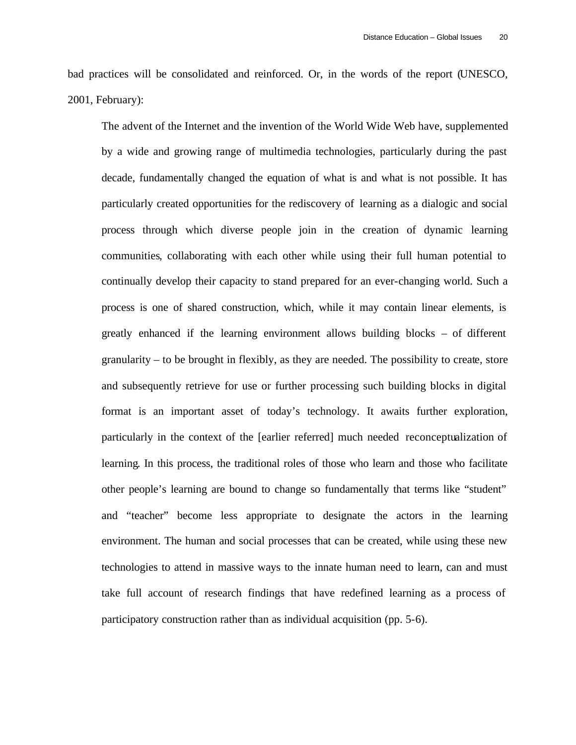bad practices will be consolidated and reinforced. Or, in the words of the report (UNESCO, 2001, February):

The advent of the Internet and the invention of the World Wide Web have, supplemented by a wide and growing range of multimedia technologies, particularly during the past decade, fundamentally changed the equation of what is and what is not possible. It has particularly created opportunities for the rediscovery of learning as a dialogic and social process through which diverse people join in the creation of dynamic learning communities, collaborating with each other while using their full human potential to continually develop their capacity to stand prepared for an ever-changing world. Such a process is one of shared construction, which, while it may contain linear elements, is greatly enhanced if the learning environment allows building blocks – of different granularity – to be brought in flexibly, as they are needed. The possibility to create, store and subsequently retrieve for use or further processing such building blocks in digital format is an important asset of today's technology. It awaits further exploration, particularly in the context of the [earlier referred] much needed reconceptualization of learning. In this process, the traditional roles of those who learn and those who facilitate other people's learning are bound to change so fundamentally that terms like "student" and "teacher" become less appropriate to designate the actors in the learning environment. The human and social processes that can be created, while using these new technologies to attend in massive ways to the innate human need to learn, can and must take full account of research findings that have redefined learning as a process of participatory construction rather than as individual acquisition (pp. 5-6).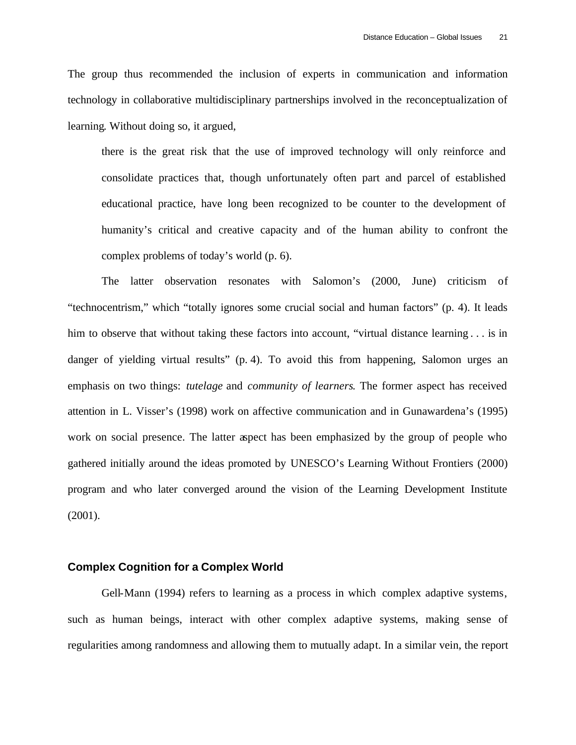The group thus recommended the inclusion of experts in communication and information technology in collaborative multidisciplinary partnerships involved in the reconceptualization of learning. Without doing so, it argued,

there is the great risk that the use of improved technology will only reinforce and consolidate practices that, though unfortunately often part and parcel of established educational practice, have long been recognized to be counter to the development of humanity's critical and creative capacity and of the human ability to confront the complex problems of today's world (p. 6).

The latter observation resonates with Salomon's (2000, June) criticism of "technocentrism," which "totally ignores some crucial social and human factors" (p. 4). It leads him to observe that without taking these factors into account, "virtual distance learning . . . is in danger of yielding virtual results" (p. 4). To avoid this from happening, Salomon urges an emphasis on two things: *tutelage* and *community of learners*. The former aspect has received attention in L. Visser's (1998) work on affective communication and in Gunawardena's (1995) work on social presence. The latter aspect has been emphasized by the group of people who gathered initially around the ideas promoted by UNESCO's Learning Without Frontiers (2000) program and who later converged around the vision of the Learning Development Institute (2001).

### **Complex Cognition for a Complex World**

Gell-Mann (1994) refers to learning as a process in which complex adaptive systems, such as human beings, interact with other complex adaptive systems, making sense of regularities among randomness and allowing them to mutually adapt. In a similar vein, the report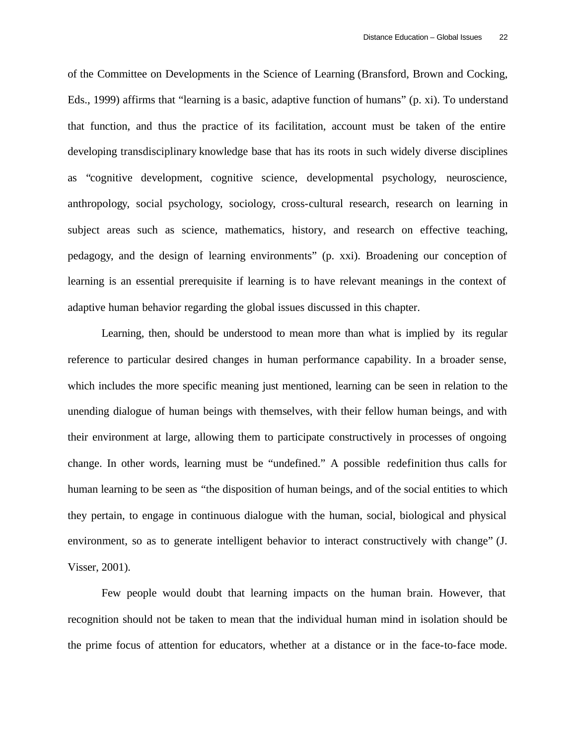of the Committee on Developments in the Science of Learning (Bransford, Brown and Cocking, Eds., 1999) affirms that "learning is a basic, adaptive function of humans" (p. xi). To understand that function, and thus the practice of its facilitation, account must be taken of the entire developing transdisciplinary knowledge base that has its roots in such widely diverse disciplines as "cognitive development, cognitive science, developmental psychology, neuroscience, anthropology, social psychology, sociology, cross-cultural research, research on learning in subject areas such as science, mathematics, history, and research on effective teaching, pedagogy, and the design of learning environments" (p. xxi). Broadening our conception of learning is an essential prerequisite if learning is to have relevant meanings in the context of adaptive human behavior regarding the global issues discussed in this chapter.

Learning, then, should be understood to mean more than what is implied by its regular reference to particular desired changes in human performance capability. In a broader sense, which includes the more specific meaning just mentioned, learning can be seen in relation to the unending dialogue of human beings with themselves, with their fellow human beings, and with their environment at large, allowing them to participate constructively in processes of ongoing change. In other words, learning must be "undefined." A possible redefinition thus calls for human learning to be seen as "the disposition of human beings, and of the social entities to which they pertain, to engage in continuous dialogue with the human, social, biological and physical environment, so as to generate intelligent behavior to interact constructively with change" (J. Visser, 2001).

Few people would doubt that learning impacts on the human brain. However, that recognition should not be taken to mean that the individual human mind in isolation should be the prime focus of attention for educators, whether at a distance or in the face-to-face mode.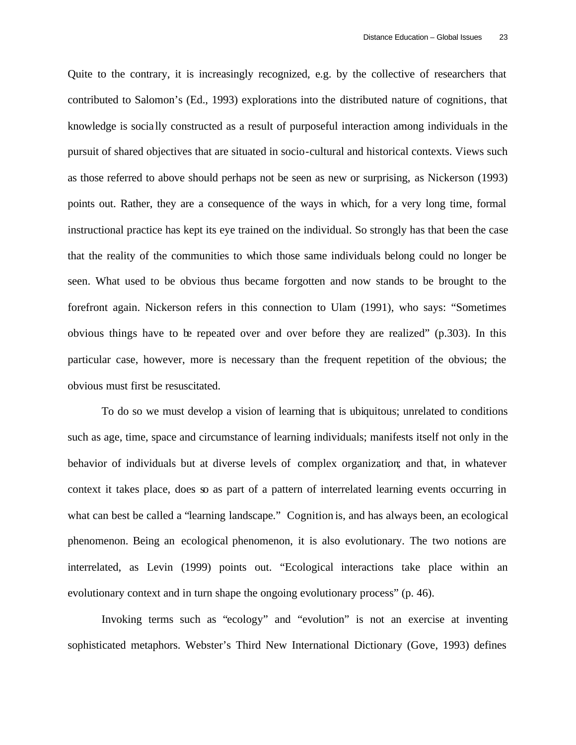Quite to the contrary, it is increasingly recognized, e.g. by the collective of researchers that contributed to Salomon's (Ed., 1993) explorations into the distributed nature of cognitions, that knowledge is socia lly constructed as a result of purposeful interaction among individuals in the pursuit of shared objectives that are situated in socio-cultural and historical contexts. Views such as those referred to above should perhaps not be seen as new or surprising, as Nickerson (1993) points out. Rather, they are a consequence of the ways in which, for a very long time, formal instructional practice has kept its eye trained on the individual. So strongly has that been the case that the reality of the communities to which those same individuals belong could no longer be seen. What used to be obvious thus became forgotten and now stands to be brought to the forefront again. Nickerson refers in this connection to Ulam (1991), who says: "Sometimes obvious things have to be repeated over and over before they are realized" (p.303). In this particular case, however, more is necessary than the frequent repetition of the obvious; the obvious must first be resuscitated.

To do so we must develop a vision of learning that is ubiquitous; unrelated to conditions such as age, time, space and circumstance of learning individuals; manifests itself not only in the behavior of individuals but at diverse levels of complex organization; and that, in whatever context it takes place, does so as part of a pattern of interrelated learning events occurring in what can best be called a "learning landscape." Cognition is, and has always been, an ecological phenomenon. Being an ecological phenomenon, it is also evolutionary. The two notions are interrelated, as Levin (1999) points out. "Ecological interactions take place within an evolutionary context and in turn shape the ongoing evolutionary process" (p. 46).

Invoking terms such as "ecology" and "evolution" is not an exercise at inventing sophisticated metaphors. Webster's Third New International Dictionary (Gove, 1993) defines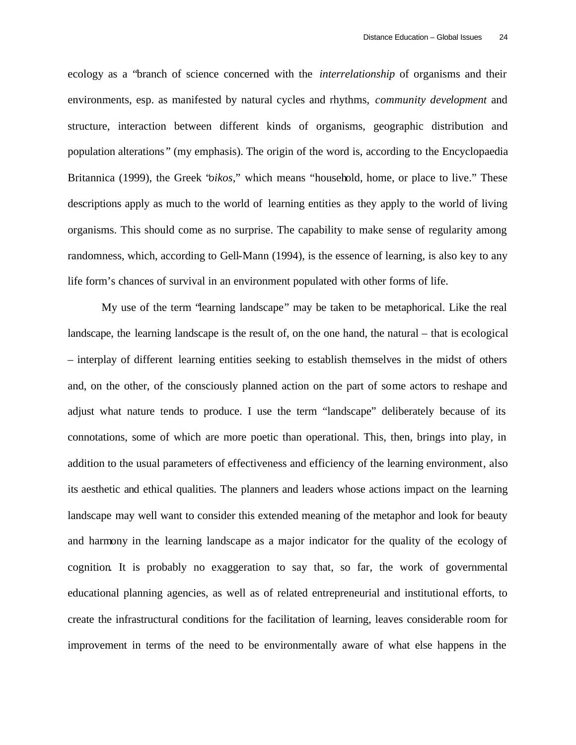ecology as a "branch of science concerned with the *interrelationship* of organisms and their environments, esp. as manifested by natural cycles and rhythms, *community development* and structure, interaction between different kinds of organisms, geographic distribution and population alterations " (my emphasis). The origin of the word is, according to the Encyclopaedia Britannica (1999), the Greek "*oikos*," which means "household, home, or place to live." These descriptions apply as much to the world of learning entities as they apply to the world of living organisms. This should come as no surprise. The capability to make sense of regularity among randomness, which, according to Gell-Mann (1994), is the essence of learning, is also key to any life form's chances of survival in an environment populated with other forms of life.

My use of the term "learning landscape" may be taken to be metaphorical. Like the real landscape, the learning landscape is the result of, on the one hand, the natural – that is ecological – interplay of different learning entities seeking to establish themselves in the midst of others and, on the other, of the consciously planned action on the part of some actors to reshape and adjust what nature tends to produce. I use the term "landscape" deliberately because of its connotations, some of which are more poetic than operational. This, then, brings into play, in addition to the usual parameters of effectiveness and efficiency of the learning environment, also its aesthetic and ethical qualities. The planners and leaders whose actions impact on the learning landscape may well want to consider this extended meaning of the metaphor and look for beauty and harmony in the learning landscape as a major indicator for the quality of the ecology of cognition. It is probably no exaggeration to say that, so far, the work of governmental educational planning agencies, as well as of related entrepreneurial and institutional efforts, to create the infrastructural conditions for the facilitation of learning, leaves considerable room for improvement in terms of the need to be environmentally aware of what else happens in the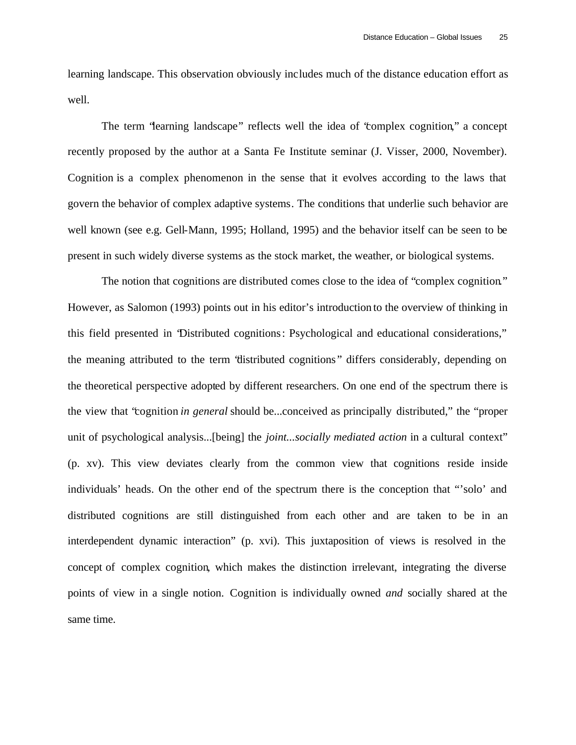learning landscape. This observation obviously includes much of the distance education effort as well.

The term "learning landscape" reflects well the idea of "complex cognition," a concept recently proposed by the author at a Santa Fe Institute seminar (J. Visser, 2000, November). Cognition is a complex phenomenon in the sense that it evolves according to the laws that govern the behavior of complex adaptive systems. The conditions that underlie such behavior are well known (see e.g. Gell-Mann, 1995; Holland, 1995) and the behavior itself can be seen to be present in such widely diverse systems as the stock market, the weather, or biological systems.

The notion that cognitions are distributed comes close to the idea of "complex cognition." However, as Salomon (1993) points out in his editor's introduction to the overview of thinking in this field presented in "Distributed cognitions: Psychological and educational considerations," the meaning attributed to the term "distributed cognitions " differs considerably, depending on the theoretical perspective adopted by different researchers. On one end of the spectrum there is the view that "cognition *in general* should be...conceived as principally distributed," the "proper unit of psychological analysis...[being] the *joint...socially mediated action* in a cultural context" (p. xv). This view deviates clearly from the common view that cognitions reside inside individuals' heads. On the other end of the spectrum there is the conception that "'solo' and distributed cognitions are still distinguished from each other and are taken to be in an interdependent dynamic interaction" (p. xvi). This juxtaposition of views is resolved in the concept of complex cognition, which makes the distinction irrelevant, integrating the diverse points of view in a single notion. Cognition is individually owned *and* socially shared at the same time.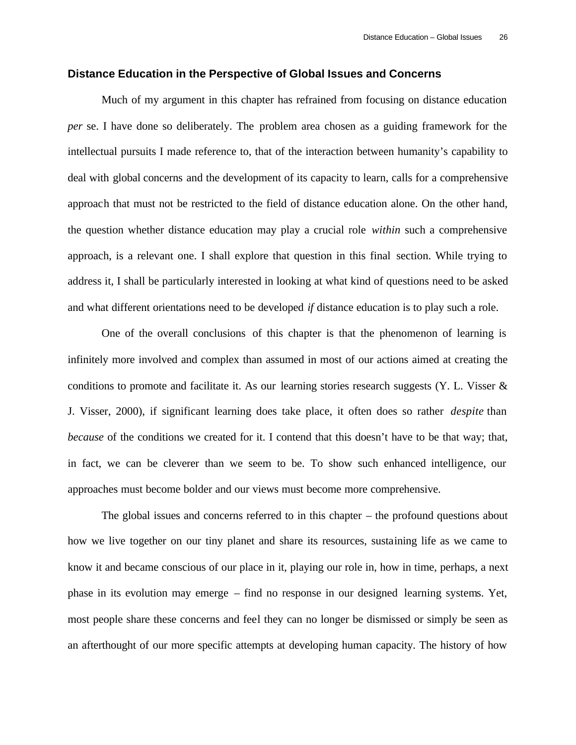## **Distance Education in the Perspective of Global Issues and Concerns**

Much of my argument in this chapter has refrained from focusing on distance education *per* se. I have done so deliberately. The problem area chosen as a guiding framework for the intellectual pursuits I made reference to, that of the interaction between humanity's capability to deal with global concerns and the development of its capacity to learn, calls for a comprehensive approach that must not be restricted to the field of distance education alone. On the other hand, the question whether distance education may play a crucial role *within* such a comprehensive approach, is a relevant one. I shall explore that question in this final section. While trying to address it, I shall be particularly interested in looking at what kind of questions need to be asked and what different orientations need to be developed *if* distance education is to play such a role.

One of the overall conclusions of this chapter is that the phenomenon of learning is infinitely more involved and complex than assumed in most of our actions aimed at creating the conditions to promote and facilitate it. As our learning stories research suggests  $(Y, L)$ . Visser  $\&$ J. Visser, 2000), if significant learning does take place, it often does so rather *despite* than *because* of the conditions we created for it. I contend that this doesn't have to be that way; that, in fact, we can be cleverer than we seem to be. To show such enhanced intelligence, our approaches must become bolder and our views must become more comprehensive.

The global issues and concerns referred to in this chapter – the profound questions about how we live together on our tiny planet and share its resources, sustaining life as we came to know it and became conscious of our place in it, playing our role in, how in time, perhaps, a next phase in its evolution may emerge – find no response in our designed learning systems. Yet, most people share these concerns and feel they can no longer be dismissed or simply be seen as an afterthought of our more specific attempts at developing human capacity. The history of how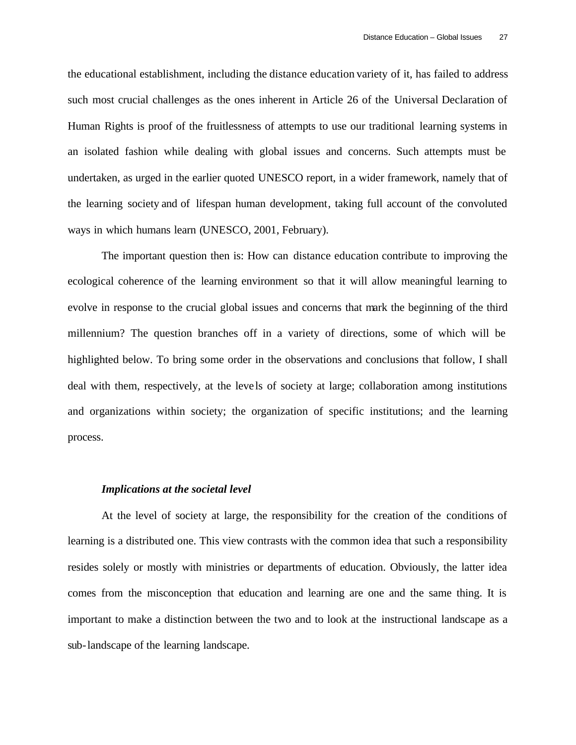the educational establishment, including the distance education variety of it, has failed to address such most crucial challenges as the ones inherent in Article 26 of the Universal Declaration of Human Rights is proof of the fruitlessness of attempts to use our traditional learning systems in an isolated fashion while dealing with global issues and concerns. Such attempts must be undertaken, as urged in the earlier quoted UNESCO report, in a wider framework, namely that of the learning society and of lifespan human development, taking full account of the convoluted ways in which humans learn (UNESCO, 2001, February).

The important question then is: How can distance education contribute to improving the ecological coherence of the learning environment so that it will allow meaningful learning to evolve in response to the crucial global issues and concerns that mark the beginning of the third millennium? The question branches off in a variety of directions, some of which will be highlighted below. To bring some order in the observations and conclusions that follow, I shall deal with them, respectively, at the leve ls of society at large; collaboration among institutions and organizations within society; the organization of specific institutions; and the learning process.

#### *Implications at the societal level*

At the level of society at large, the responsibility for the creation of the conditions of learning is a distributed one. This view contrasts with the common idea that such a responsibility resides solely or mostly with ministries or departments of education. Obviously, the latter idea comes from the misconception that education and learning are one and the same thing. It is important to make a distinction between the two and to look at the instructional landscape as a sub-landscape of the learning landscape.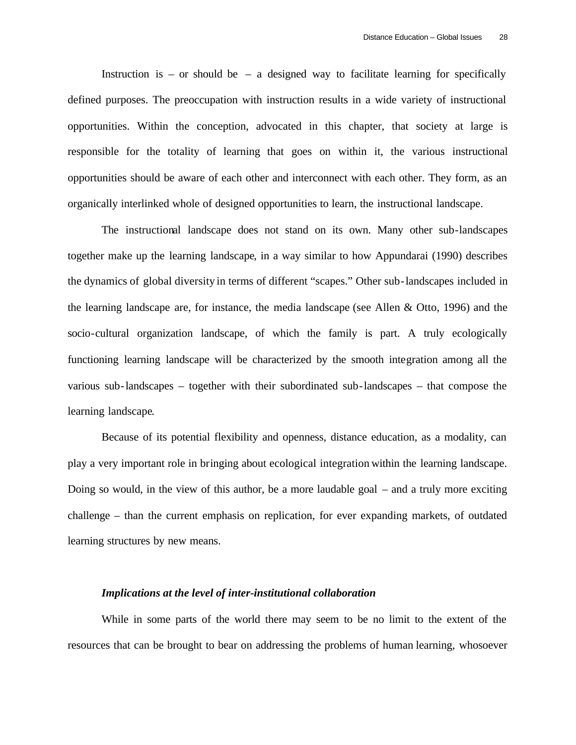Instruction is – or should be – a designed way to facilitate learning for specifically defined purposes. The preoccupation with instruction results in a wide variety of instructional opportunities. Within the conception, advocated in this chapter, that society at large is responsible for the totality of learning that goes on within it, the various instructional opportunities should be aware of each other and interconnect with each other. They form, as an organically interlinked whole of designed opportunities to learn, the instructional landscape.

The instructional landscape does not stand on its own. Many other sub-landscapes together make up the learning landscape, in a way similar to how Appundarai (1990) describes the dynamics of global diversity in terms of different "scapes." Other sub-landscapes included in the learning landscape are, for instance, the media landscape (see Allen & Otto, 1996) and the socio-cultural organization landscape, of which the family is part. A truly ecologically functioning learning landscape will be characterized by the smooth integration among all the various sub-landscapes – together with their subordinated sub-landscapes – that compose the learning landscape.

Because of its potential flexibility and openness, distance education, as a modality, can play a very important role in bringing about ecological integration within the learning landscape. Doing so would, in the view of this author, be a more laudable goal – and a truly more exciting challenge – than the current emphasis on replication, for ever expanding markets, of outdated learning structures by new means.

#### *Implications at the level of inter-institutional collaboration*

While in some parts of the world there may seem to be no limit to the extent of the resources that can be brought to bear on addressing the problems of human learning, whosoever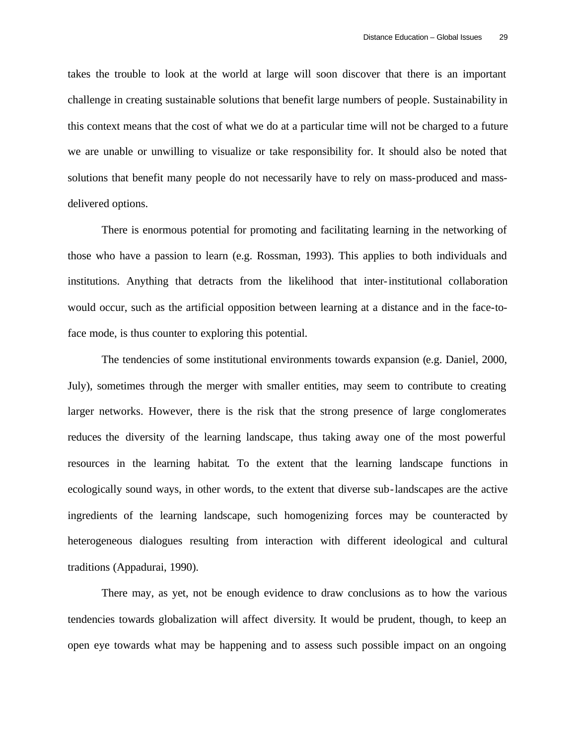takes the trouble to look at the world at large will soon discover that there is an important challenge in creating sustainable solutions that benefit large numbers of people. Sustainability in this context means that the cost of what we do at a particular time will not be charged to a future we are unable or unwilling to visualize or take responsibility for. It should also be noted that solutions that benefit many people do not necessarily have to rely on mass-produced and massdelivered options.

There is enormous potential for promoting and facilitating learning in the networking of those who have a passion to learn (e.g. Rossman, 1993). This applies to both individuals and institutions. Anything that detracts from the likelihood that inter-institutional collaboration would occur, such as the artificial opposition between learning at a distance and in the face-toface mode, is thus counter to exploring this potential.

The tendencies of some institutional environments towards expansion (e.g. Daniel, 2000, July), sometimes through the merger with smaller entities, may seem to contribute to creating larger networks. However, there is the risk that the strong presence of large conglomerates reduces the diversity of the learning landscape, thus taking away one of the most powerful resources in the learning habitat. To the extent that the learning landscape functions in ecologically sound ways, in other words, to the extent that diverse sub-landscapes are the active ingredients of the learning landscape, such homogenizing forces may be counteracted by heterogeneous dialogues resulting from interaction with different ideological and cultural traditions (Appadurai, 1990).

There may, as yet, not be enough evidence to draw conclusions as to how the various tendencies towards globalization will affect diversity. It would be prudent, though, to keep an open eye towards what may be happening and to assess such possible impact on an ongoing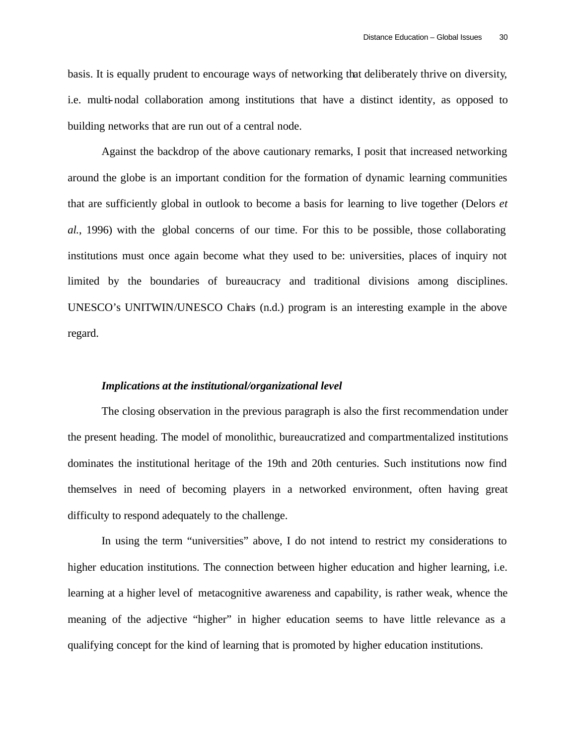basis. It is equally prudent to encourage ways of networking that deliberately thrive on diversity, i.e. multi-nodal collaboration among institutions that have a distinct identity, as opposed to building networks that are run out of a central node.

Against the backdrop of the above cautionary remarks, I posit that increased networking around the globe is an important condition for the formation of dynamic learning communities that are sufficiently global in outlook to become a basis for learning to live together (Delors *et al.*, 1996) with the global concerns of our time. For this to be possible, those collaborating institutions must once again become what they used to be: universities, places of inquiry not limited by the boundaries of bureaucracy and traditional divisions among disciplines. UNESCO's UNITWIN/UNESCO Chairs (n.d.) program is an interesting example in the above regard.

#### *Implications at the institutional/organizational level*

The closing observation in the previous paragraph is also the first recommendation under the present heading. The model of monolithic, bureaucratized and compartmentalized institutions dominates the institutional heritage of the 19th and 20th centuries. Such institutions now find themselves in need of becoming players in a networked environment, often having great difficulty to respond adequately to the challenge.

In using the term "universities" above, I do not intend to restrict my considerations to higher education institutions. The connection between higher education and higher learning, i.e. learning at a higher level of metacognitive awareness and capability, is rather weak, whence the meaning of the adjective "higher" in higher education seems to have little relevance as a qualifying concept for the kind of learning that is promoted by higher education institutions.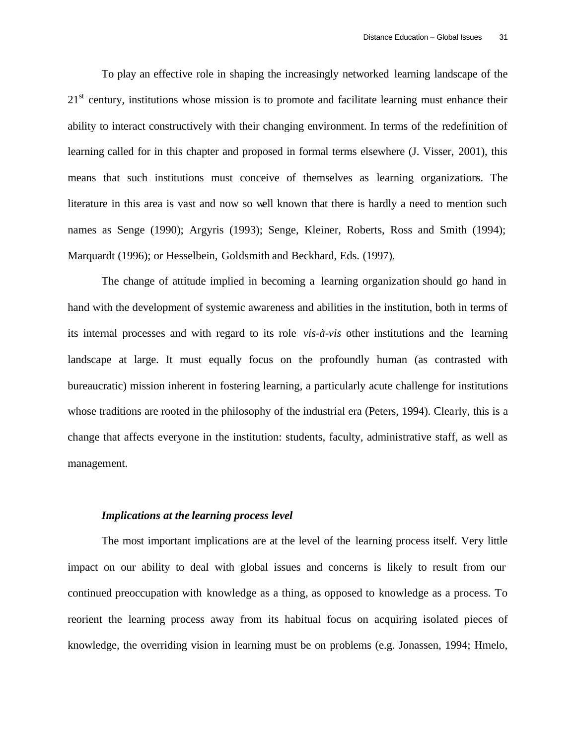To play an effective role in shaping the increasingly networked learning landscape of the 21<sup>st</sup> century, institutions whose mission is to promote and facilitate learning must enhance their ability to interact constructively with their changing environment. In terms of the redefinition of learning called for in this chapter and proposed in formal terms elsewhere (J. Visser, 2001), this means that such institutions must conceive of themselves as learning organizations. The literature in this area is vast and now so well known that there is hardly a need to mention such names as Senge (1990); Argyris (1993); Senge, Kleiner, Roberts, Ross and Smith (1994); Marquardt (1996); or Hesselbein, Goldsmith and Beckhard, Eds. (1997).

The change of attitude implied in becoming a learning organization should go hand in hand with the development of systemic awareness and abilities in the institution, both in terms of its internal processes and with regard to its role *vis-à-vis* other institutions and the learning landscape at large. It must equally focus on the profoundly human (as contrasted with bureaucratic) mission inherent in fostering learning, a particularly acute challenge for institutions whose traditions are rooted in the philosophy of the industrial era (Peters, 1994). Clearly, this is a change that affects everyone in the institution: students, faculty, administrative staff, as well as management.

## *Implications at the learning process level*

The most important implications are at the level of the learning process itself. Very little impact on our ability to deal with global issues and concerns is likely to result from our continued preoccupation with knowledge as a thing, as opposed to knowledge as a process. To reorient the learning process away from its habitual focus on acquiring isolated pieces of knowledge, the overriding vision in learning must be on problems (e.g. Jonassen, 1994; Hmelo,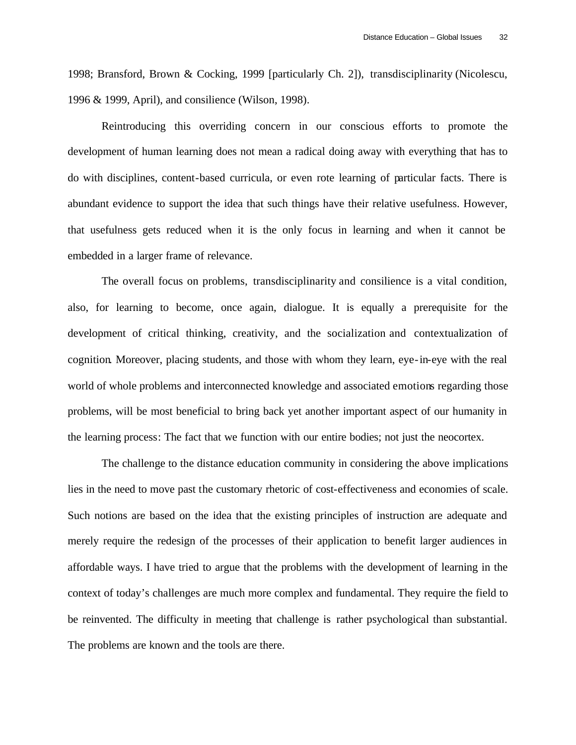1998; Bransford, Brown & Cocking, 1999 [particularly Ch. 2]), transdisciplinarity (Nicolescu, 1996 & 1999, April), and consilience (Wilson, 1998).

Reintroducing this overriding concern in our conscious efforts to promote the development of human learning does not mean a radical doing away with everything that has to do with disciplines, content-based curricula, or even rote learning of particular facts. There is abundant evidence to support the idea that such things have their relative usefulness. However, that usefulness gets reduced when it is the only focus in learning and when it cannot be embedded in a larger frame of relevance.

The overall focus on problems, transdisciplinarity and consilience is a vital condition, also, for learning to become, once again, dialogue. It is equally a prerequisite for the development of critical thinking, creativity, and the socialization and contextualization of cognition. Moreover, placing students, and those with whom they learn, eye-in-eye with the real world of whole problems and interconnected knowledge and associated emotions regarding those problems, will be most beneficial to bring back yet another important aspect of our humanity in the learning process: The fact that we function with our entire bodies; not just the neocortex.

The challenge to the distance education community in considering the above implications lies in the need to move past the customary rhetoric of cost-effectiveness and economies of scale. Such notions are based on the idea that the existing principles of instruction are adequate and merely require the redesign of the processes of their application to benefit larger audiences in affordable ways. I have tried to argue that the problems with the development of learning in the context of today's challenges are much more complex and fundamental. They require the field to be reinvented. The difficulty in meeting that challenge is rather psychological than substantial. The problems are known and the tools are there.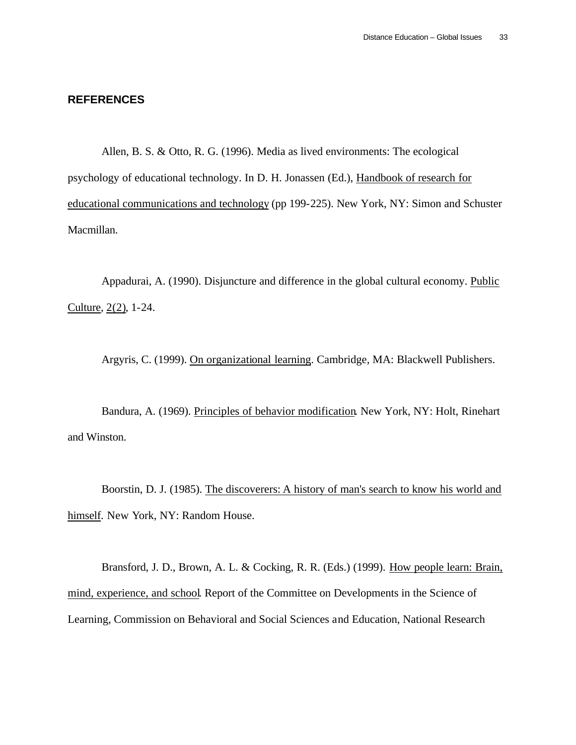# **REFERENCES**

Allen, B. S. & Otto, R. G. (1996). Media as lived environments: The ecological psychology of educational technology. In D. H. Jonassen (Ed.), Handbook of research for educational communications and technology (pp 199-225). New York, NY: Simon and Schuster Macmillan.

Appadurai, A. (1990). Disjuncture and difference in the global cultural economy. Public Culture, 2(2), 1-24.

Argyris, C. (1999). On organizational learning. Cambridge, MA: Blackwell Publishers.

Bandura, A. (1969). Principles of behavior modification. New York, NY: Holt, Rinehart and Winston.

Boorstin, D. J. (1985). The discoverers: A history of man's search to know his world and himself. New York, NY: Random House.

Bransford, J. D., Brown, A. L. & Cocking, R. R. (Eds.) (1999). How people learn: Brain, mind, experience, and school. Report of the Committee on Developments in the Science of Learning, Commission on Behavioral and Social Sciences and Education, National Research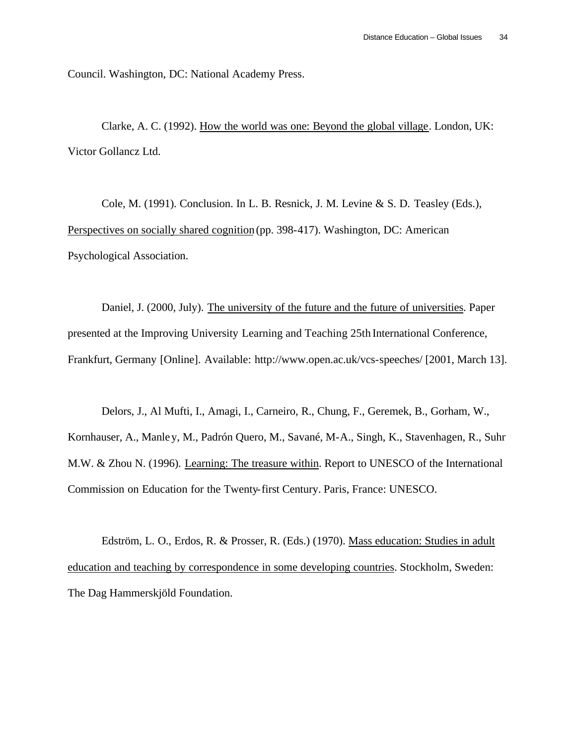Council. Washington, DC: National Academy Press.

Clarke, A. C. (1992). How the world was one: Beyond the global village. London, UK: Victor Gollancz Ltd.

Cole, M. (1991). Conclusion. In L. B. Resnick, J. M. Levine & S. D. Teasley (Eds.), Perspectives on socially shared cognition (pp. 398-417). Washington, DC: American Psychological Association.

Daniel, J. (2000, July). The university of the future and the future of universities. Paper presented at the Improving University Learning and Teaching 25th International Conference, Frankfurt, Germany [Online]. Available: http://www.open.ac.uk/vcs-speeches/ [2001, March 13].

Delors, J., Al Mufti, I., Amagi, I., Carneiro, R., Chung, F., Geremek, B., Gorham, W., Kornhauser, A., Manley, M., Padrón Quero, M., Savané, M-A., Singh, K., Stavenhagen, R., Suhr M.W. & Zhou N. (1996). Learning: The treasure within. Report to UNESCO of the International Commission on Education for the Twenty-first Century. Paris, France: UNESCO.

Edström, L. O., Erdos, R. & Prosser, R. (Eds.) (1970). Mass education: Studies in adult education and teaching by correspondence in some developing countries. Stockholm, Sweden: The Dag Hammerskjöld Foundation.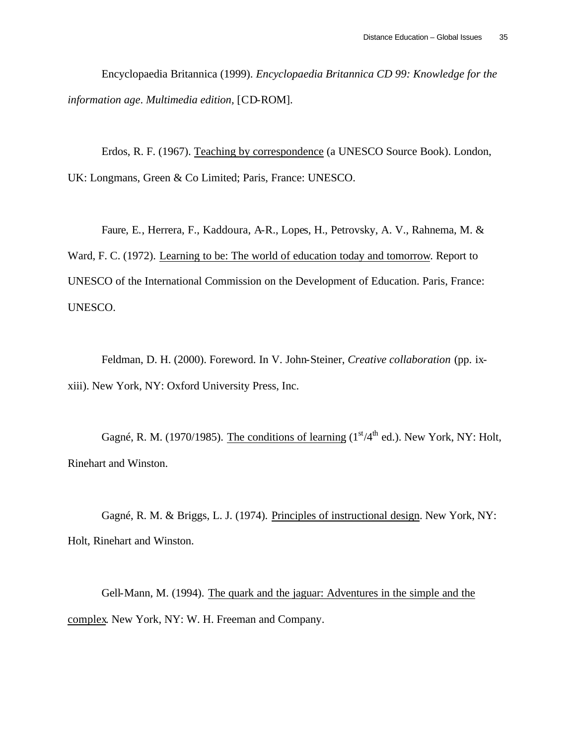Encyclopaedia Britannica (1999). *Encyclopaedia Britannica CD 99: Knowledge for the information age*. *Multimedia edition,* [CD-ROM].

Erdos, R. F. (1967). Teaching by correspondence (a UNESCO Source Book). London, UK: Longmans, Green & Co Limited; Paris, France: UNESCO.

Faure, E., Herrera, F., Kaddoura, A-R., Lopes, H., Petrovsky, A. V., Rahnema, M. & Ward, F. C. (1972). Learning to be: The world of education today and tomorrow. Report to UNESCO of the International Commission on the Development of Education. Paris, France: UNESCO.

Feldman, D. H. (2000). Foreword. In V. John-Steiner, *Creative collaboration* (pp. ixxiii). New York, NY: Oxford University Press, Inc.

Gagné, R. M. (1970/1985). The conditions of learning  $(1<sup>st</sup>/4<sup>th</sup>$  ed.). New York, NY: Holt, Rinehart and Winston.

Gagné, R. M. & Briggs, L. J. (1974). Principles of instructional design. New York, NY: Holt, Rinehart and Winston.

Gell-Mann, M. (1994). The quark and the jaguar: Adventures in the simple and the complex. New York, NY: W. H. Freeman and Company.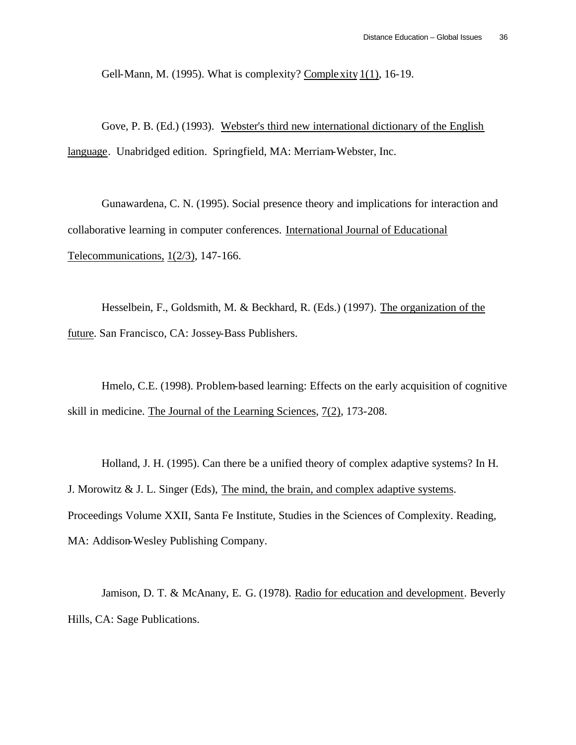Gell-Mann, M. (1995). What is complexity? Complexity 1(1), 16-19.

Gove, P. B. (Ed.) (1993). Webster's third new international dictionary of the English language. Unabridged edition. Springfield, MA: Merriam-Webster, Inc.

Gunawardena, C. N. (1995). Social presence theory and implications for interaction and collaborative learning in computer conferences. International Journal of Educational Telecommunications, 1(2/3), 147-166.

Hesselbein, F., Goldsmith, M. & Beckhard, R. (Eds.) (1997). The organization of the future. San Francisco, CA: Jossey-Bass Publishers.

Hmelo, C.E. (1998). Problem-based learning: Effects on the early acquisition of cognitive skill in medicine. The Journal of the Learning Sciences, 7(2), 173-208.

Holland, J. H. (1995). Can there be a unified theory of complex adaptive systems? In H. J. Morowitz & J. L. Singer (Eds), The mind, the brain, and complex adaptive systems. Proceedings Volume XXII, Santa Fe Institute, Studies in the Sciences of Complexity. Reading, MA: Addison-Wesley Publishing Company.

Jamison, D. T. & McAnany, E. G. (1978). Radio for education and development. Beverly Hills, CA: Sage Publications.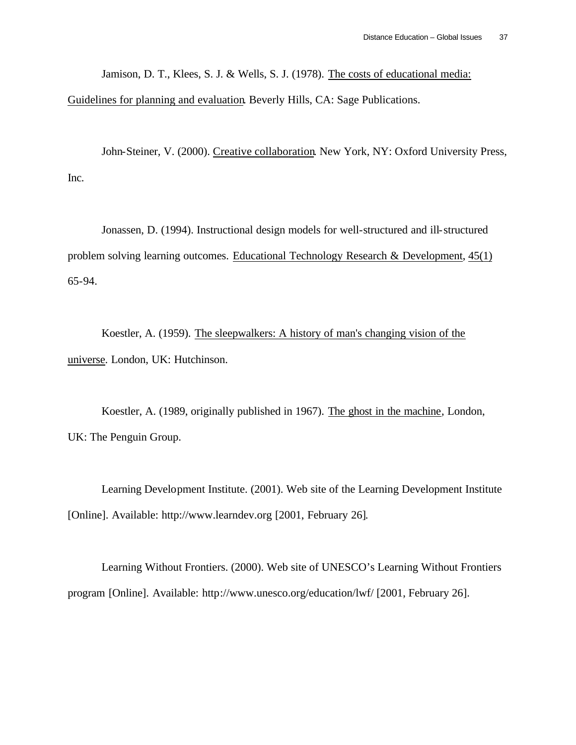Jamison, D. T., Klees, S. J. & Wells, S. J. (1978). The costs of educational media:

Guidelines for planning and evaluation. Beverly Hills, CA: Sage Publications.

John-Steiner, V. (2000). Creative collaboration. New York, NY: Oxford University Press, Inc.

Jonassen, D. (1994). Instructional design models for well-structured and ill-structured problem solving learning outcomes. Educational Technology Research & Development, 45(1) 65-94.

Koestler, A. (1959). The sleepwalkers: A history of man's changing vision of the universe. London, UK: Hutchinson.

Koestler, A. (1989, originally published in 1967). The ghost in the machine, London, UK: The Penguin Group.

Learning Development Institute. (2001). Web site of the Learning Development Institute [Online]. Available: http://www.learndev.org [2001, February 26].

Learning Without Frontiers. (2000). Web site of UNESCO's Learning Without Frontiers program [Online]. Available: http://www.unesco.org/education/lwf/ [2001, February 26].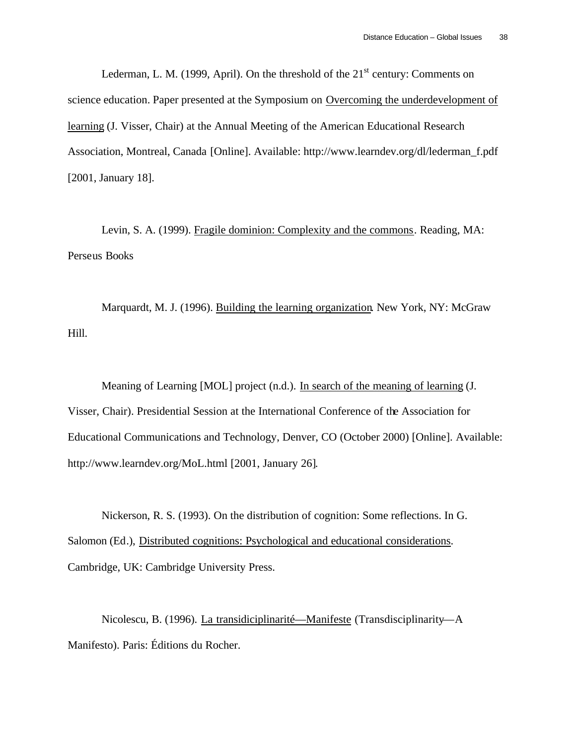Lederman, L. M. (1999, April). On the threshold of the  $21<sup>st</sup>$  century: Comments on science education. Paper presented at the Symposium on Overcoming the underdevelopment of learning (J. Visser, Chair) at the Annual Meeting of the American Educational Research Association, Montreal, Canada [Online]. Available: http://www.learndev.org/dl/lederman\_f.pdf [2001, January 18].

Levin, S. A. (1999). Fragile dominion: Complexity and the commons. Reading, MA: Perseus Books

Marquardt, M. J. (1996). Building the learning organization. New York, NY: McGraw Hill.

Meaning of Learning [MOL] project (n.d.). In search of the meaning of learning (J. Visser, Chair). Presidential Session at the International Conference of the Association for Educational Communications and Technology, Denver, CO (October 2000) [Online]. Available: http://www.learndev.org/MoL.html [2001, January 26].

Nickerson, R. S. (1993). On the distribution of cognition: Some reflections. In G. Salomon (Ed.), Distributed cognitions: Psychological and educational considerations. Cambridge, UK: Cambridge University Press.

Nicolescu, B. (1996). La transidiciplinarité—Manifeste (Transdisciplinarity—A Manifesto). Paris: Éditions du Rocher.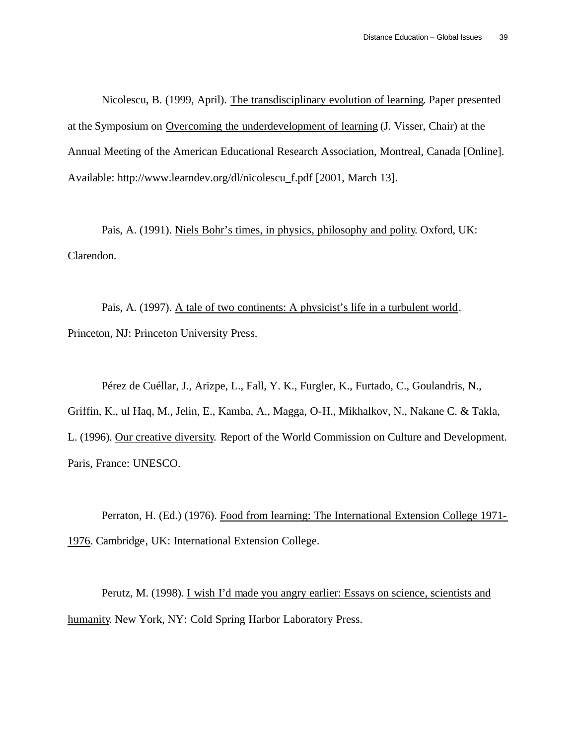Nicolescu, B. (1999, April). The transdisciplinary evolution of learning. Paper presented at the Symposium on Overcoming the underdevelopment of learning (J. Visser, Chair) at the Annual Meeting of the American Educational Research Association, Montreal, Canada [Online]. Available: http://www.learndev.org/dl/nicolescu\_f.pdf [2001, March 13].

Pais, A. (1991). Niels Bohr's times, in physics, philosophy and polity. Oxford, UK: Clarendon.

Pais, A. (1997). A tale of two continents: A physicist's life in a turbulent world. Princeton, NJ: Princeton University Press.

Pérez de Cuéllar, J., Arizpe, L., Fall, Y. K., Furgler, K., Furtado, C., Goulandris, N., Griffin, K., ul Haq, M., Jelin, E., Kamba, A., Magga, O-H., Mikhalkov, N., Nakane C. & Takla, L. (1996). Our creative diversity. Report of the World Commission on Culture and Development. Paris, France: UNESCO.

Perraton, H. (Ed.) (1976). Food from learning: The International Extension College 1971- 1976. Cambridge, UK: International Extension College.

Perutz, M. (1998). *I wish I'd made you angry earlier: Essays on science, scientists and* humanity. New York, NY: Cold Spring Harbor Laboratory Press.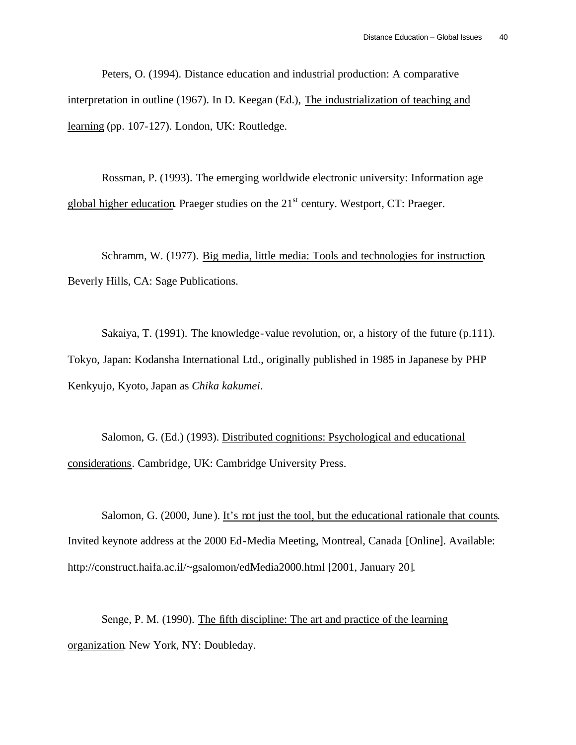Peters, O. (1994). Distance education and industrial production: A comparative interpretation in outline (1967). In D. Keegan (Ed.), The industrialization of teaching and learning (pp. 107-127). London, UK: Routledge.

Rossman, P. (1993). The emerging worldwide electronic university: Information age global higher education. Praeger studies on the  $21<sup>st</sup>$  century. Westport, CT: Praeger.

Schramm, W. (1977). Big media, little media: Tools and technologies for instruction. Beverly Hills, CA: Sage Publications.

Sakaiya, T. (1991). The knowledge-value revolution, or, a history of the future (p.111). Tokyo, Japan: Kodansha International Ltd., originally published in 1985 in Japanese by PHP Kenkyujo, Kyoto, Japan as *Chika kakumei*.

Salomon, G. (Ed.) (1993). Distributed cognitions: Psychological and educational considerations. Cambridge, UK: Cambridge University Press.

Salomon, G. (2000, June). It's not just the tool, but the educational rationale that counts. Invited keynote address at the 2000 Ed-Media Meeting, Montreal, Canada [Online]. Available: http://construct.haifa.ac.il/~gsalomon/edMedia2000.html [2001, January 20].

Senge, P. M. (1990). The fifth discipline: The art and practice of the learning organization. New York, NY: Doubleday.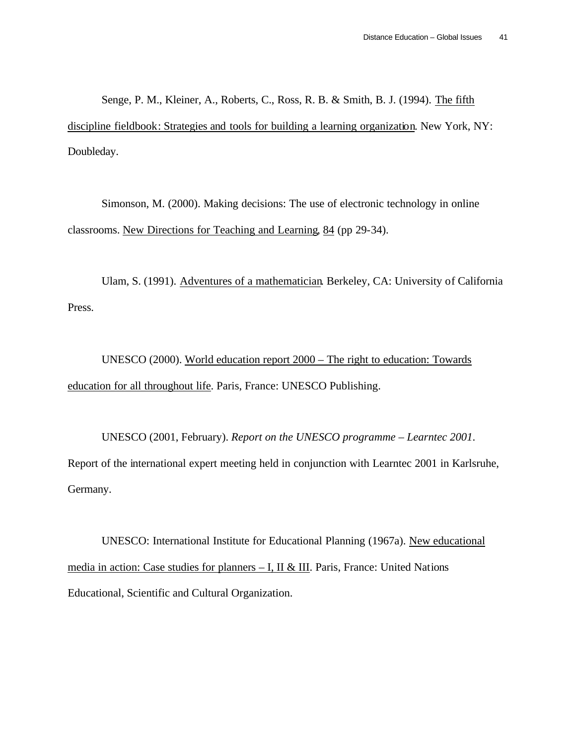Senge, P. M., Kleiner, A., Roberts, C., Ross, R. B. & Smith, B. J. (1994). The fifth discipline fieldbook: Strategies and tools for building a learning organization. New York, NY: Doubleday.

Simonson, M. (2000). Making decisions: The use of electronic technology in online classrooms. New Directions for Teaching and Learning, 84 (pp 29-34).

Ulam, S. (1991). Adventures of a mathematician. Berkeley, CA: University of California Press.

UNESCO (2000). World education report 2000 – The right to education: Towards education for all throughout life. Paris, France: UNESCO Publishing.

UNESCO (2001, February). *Report on the UNESCO programme – Learntec 2001*. Report of the international expert meeting held in conjunction with Learntec 2001 in Karlsruhe, Germany.

UNESCO: International Institute for Educational Planning (1967a). New educational media in action: Case studies for planners  $- I$ , II & III. Paris, France: United Nations Educational, Scientific and Cultural Organization.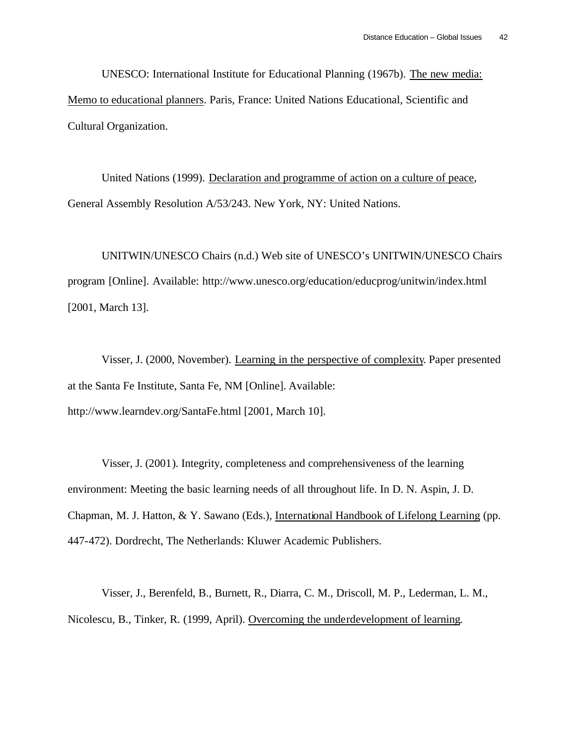UNESCO: International Institute for Educational Planning (1967b). The new media: Memo to educational planners. Paris, France: United Nations Educational, Scientific and Cultural Organization.

United Nations (1999). Declaration and programme of action on a culture of peace, General Assembly Resolution A/53/243. New York, NY: United Nations.

UNITWIN/UNESCO Chairs (n.d.) Web site of UNESCO's UNITWIN/UNESCO Chairs program [Online]. Available: http://www.unesco.org/education/educprog/unitwin/index.html [2001, March 13].

Visser, J. (2000, November). Learning in the perspective of complexity. Paper presented at the Santa Fe Institute, Santa Fe, NM [Online]. Available: http://www.learndev.org/SantaFe.html [2001, March 10].

Visser, J. (2001). Integrity, completeness and comprehensiveness of the learning environment: Meeting the basic learning needs of all throughout life. In D. N. Aspin, J. D. Chapman, M. J. Hatton, & Y. Sawano (Eds.), International Handbook of Lifelong Learning (pp. 447-472). Dordrecht, The Netherlands: Kluwer Academic Publishers.

Visser, J., Berenfeld, B., Burnett, R., Diarra, C. M., Driscoll, M. P., Lederman, L. M., Nicolescu, B., Tinker, R. (1999, April). Overcoming the underdevelopment of learning.